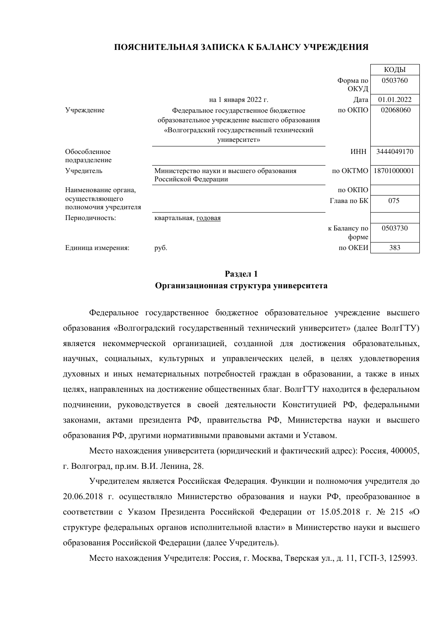## ПОЯСНИТЕЛЬНАЯ ЗАПИСКА К БАЛАНСУ УЧРЕЖЛЕНИЯ

|                                          |                                                                  |              | КОДЫ        |
|------------------------------------------|------------------------------------------------------------------|--------------|-------------|
|                                          |                                                                  | Форма по     | 0503760     |
|                                          |                                                                  | ОКУД         |             |
|                                          | на 1 января 2022 г.                                              | Дата         | 01.01.2022  |
| Учреждение                               | Федеральное государственное бюджетное                            | по ОКПО      | 02068060    |
|                                          | образовательное учреждение высшего образования                   |              |             |
|                                          | «Волгоградский государственный технический                       |              |             |
|                                          | университет»                                                     |              |             |
| Обособленное<br>подразделение            |                                                                  | <b>HHH</b>   | 3444049170  |
| Учредитель                               | Министерство науки и высшего образования<br>Российской Федерации | по ОКТМО     | 18701000001 |
| Наименование органа,                     |                                                                  | по ОКПО      |             |
| осуществляющего<br>полномочия учредителя |                                                                  | Глава по БК  | 075         |
| Периодичность:                           | квартальная, годовая                                             |              |             |
|                                          |                                                                  | к Балансу по | 0503730     |
|                                          |                                                                  | форме        |             |
| Единица измерения:                       | py <sub>6</sub> .                                                | по ОКЕИ      | 383         |

# **Разлел 1** Организационная структура университета

Федеральное государственное бюджетное образовательное учреждение высшего образования «Волгоградский государственный технический университет» (далее ВолгГТУ) является некоммерческой организацией, созданной для достижения образовательных, научных, социальных, культурных и управленческих целей, в целях удовлетворения духовных и иных нематериальных потребностей граждан в образовании, а также в иных целях, направленных на достижение общественных благ. ВолгГТУ находится в федеральном подчинении, руководствуется в своей деятельности Конституцией РФ, федеральными законами, актами президента РФ, правительства РФ, Министерства науки и высшего образования РФ, другими нормативными правовыми актами и Уставом.

Место нахождения университета (юридический и фактический адрес): Россия, 400005, г. Волгоград, пр.им. В.И. Ленина, 28.

Учредителем является Российская Федерация. Функции и полномочия учредителя до 20.06.2018 г. осуществляло Министерство образования и науки РФ, преобразованное в соответствии с Указом Президента Российской Федерации от 15.05.2018 г. № 215 «О структуре федеральных органов исполнительной власти» в Министерство науки и высшего образования Российской Федерации (далее Учредитель).

Место нахождения Учредителя: Россия, г. Москва, Тверская ул., д. 11, ГСП-3, 125993.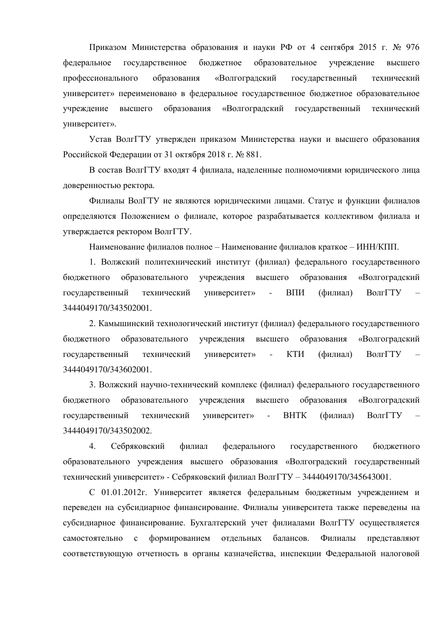Приказом Министерства образования и науки РФ от 4 сентября 2015 г. № 976 федеральное государственное бюджетное образовательное учреждение высшего профессионального образования «Волгогралский госуларственный технический университет» переименовано в федеральное государственное бюджетное образовательное учреждение высшего образования «Волгоградский государственный технический университет».

Устав ВолгГТУ утвержден приказом Министерства науки и высшего образования Российской Федерации от 31 октября 2018 г. № 881.

В состав ВолгГТУ входят 4 филиала, наделенные полномочиями юридического лица доверенностью ректора.

Филиалы ВолГТУ не являются юридическими лицами. Статус и функции филиалов определяются Положением о филиале, которое разрабатывается коллективом филиала и утверждается ректором ВолгГТУ.

Наименование филиалов полное – Наименование филиалов краткое – ИНН/КПП.

1. Волжский политехнический институт (филиал) федерального государственного бюджетного образовательного учреждения высшего образования «Волгоградский государственный технический университет» - ВПИ (филиал) ВолгГТУ 3444049170/343502001.

2. Камышинский технологический институт (филиал) федерального государственного бюджетного образовательного учреждения высшего образования «Волгоградский государственный технический университет» - КТИ (филиал) ВолгГТУ 3444049170/343602001.

3. Волжский научно-технический комплекс (филиал) федерального государственного бюджетного образовательного учреждения высшего образования «Волгоградский государственный технический университет» - ВНТК (филиал) ВолгГТУ 3444049170/343502002.

4. Себряковский филиал федерального государственного бюджетного образовательного учреждения высшего образования «Волгоградский государственный технический университет» - Себряковский филиал ВолгГТУ - 3444049170/345643001.

С 01.01.2012г. Университет является федеральным бюджетным учреждением и переведен на субсидиарное финансирование. Филиалы университета также переведены на субсидиарное финансирование. Бухгалтерский учет филиалами ВолгГТУ осуществляется самостоятельно с формированием отдельных балансов. Филиалы представляют соответствующую отчетность в органы казначейства, инспекции Федеральной налоговой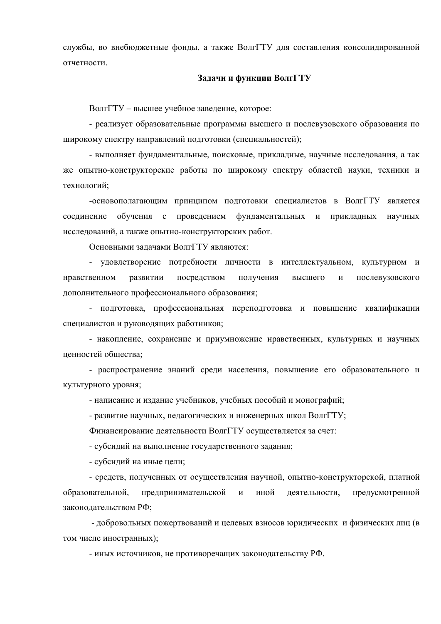службы, во внебюджетные фонды, а также ВолгГТУ для составления консолидированной отчетности

## Задачи и функции ВолгГТУ

ВолгГТУ – высшее учебное заведение, которое:

- реализует образовательные программы высшего и послевузовского образования по широкому спектру направлений подготовки (специальностей);

- выполняет фундаментальные, поисковые, прикладные, научные исследования, а так же опытно-конструкторские работы по широкому спектру областей науки, техники и технологий;

-основополагающим принципом подготовки специалистов в ВолгГТУ является соединение обучения с проведением фундаментальных и прикладных научных исследований, а также опытно-конструкторских работ.

Основными задачами ВолгГТУ являются:

- удовлетворение потребности личности в интеллектуальном, культурном и нравственном развитии посредством получения высшего и послевузовского дополнительного профессионального образования;

- подготовка, профессиональная переподготовка и повышение квалификации специалистов и руководящих работников;

- накопление, сохранение и приумножение нравственных, культурных и научных ненностей общества

- распространение знаний среди населения, повышение его образовательного и культурного уровня;

- написание и издание учебников, учебных пособий и монографий;

- развитие научных, педагогических и инженерных школ ВолгГТУ;

Финансирование деятельности ВолгГТУ осуществляется за счет:

- субсидий на выполнение государственного задания;

- субсидий на иные цели;

- средств, полученных от осуществления научной, опытно-конструкторской, платной образовательной, предпринимательской и иной деятельности, предусмотренной законодательством РФ;

- добровольных пожертвований и целевых взносов юридических и физических лиц (в том числе иностранных);

- иных источников, не противоречащих законодательству РФ.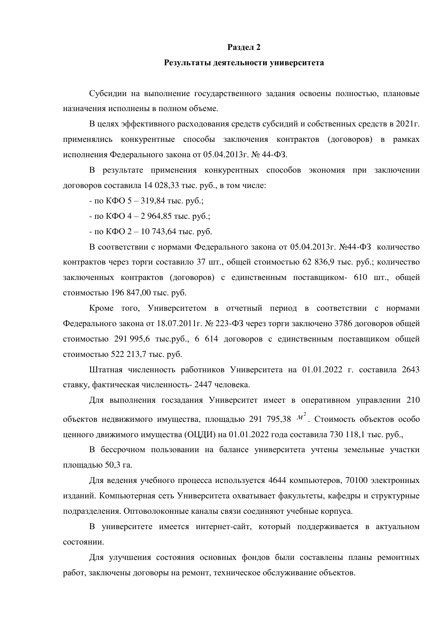### **Разлел 2**

## Результаты деятельности университета

Субсидии на выполнение государственного задания освоены полностью, плановые назначения исполнены в полном объеме.

В целях эффективного расходования средств субсидий и собственных средств в 2021г. применялись конкурентные способы заключения контрактов (договоров) в рамках исполнения Федерального закона от 05.04.2013 г. № 44-ФЗ.

В результате применения конкурентных способов экономия при заключении договоров составила 14 028,33 тыс. руб., в том числе:

 $-$  по КФО 5 – 319,84 тыс. руб.;

 $-$  по КФО 4 – 2 964,85 тыс. руб.;

 $-$  по КФО 2 – 10 743,64 тыс. руб.

В соответствии с нормами Федерального закона от 05.04.2013 г. №44-ФЗ количество контрактов через торги составило 37 шт., общей стоимостью 62 836,9 тыс. руб.; количество заключенных контрактов (договоров) с единственным поставщиком- 610 шт., общей стоимостью 196 847,00 тыс. руб.

Кроме того, Университетом в отчетный период в соответствии с нормами Федерального закона от 18.07.2011г. № 223-ФЗ через торги заключено 3786 договоров общей стоимостью 291 995,6 тыс.руб., 6 614 договоров с единственным поставщиком общей стоимостью 522 213,7 тыс. руб.

Штатная численность работников Университета на 01.01.2022 г. составила 2643 ставку, фактическая численность- 2447 человека.

Для выполнения госзадания Университет имеет в оперативном управлении 210 объектов недвижимого имущества, площадью 291 795,38  $M^2$ . Стоимость объектов особо ценного движимого имущества (ОЦДИ) на 01.01.2022 года составила 730 118,1 тыс. руб.,

В бессрочном пользовании на балансе университета учтены земельные участки площадью 50,3 га.

Для ведения учебного процесса используется 4644 компьютеров, 70100 электронных изданий. Компьютерная сеть Университета охватывает факультеты, кафедры и структурные подразделения. Оптоволоконные каналы связи соединяют учебные корпуса.

В университете имеется интернет-сайт, который поддерживается в актуальном состоянии.

Для улучшения состояния основных фондов были составлены планы ремонтных работ, заключены договоры на ремонт, техническое обслуживание объектов.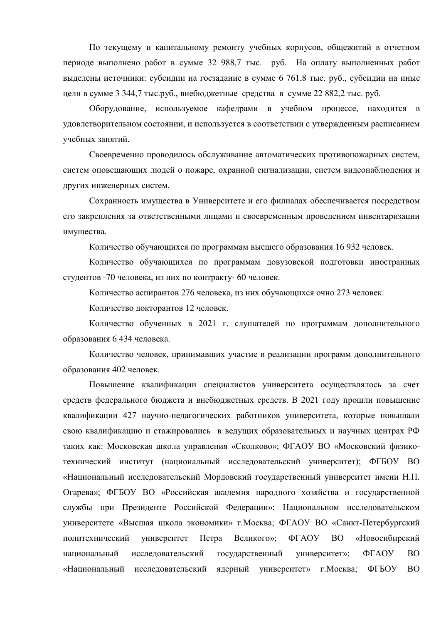По текущему и капитальному ремонту учебных корпусов, общежитий в отчетном периоде выполнено работ в сумме 32 988,7 тыс. руб. На оплату выполненных работ выделены источники: субсидии на госзадание в сумме 6 761,8 тыс. руб., субсидии на иные цели в сумме 3 344,7 тыс.руб., внебюджетные средства в сумме 22 882,2 тыс. руб.

Оборудование, используемое кафедрами в учебном процессе, находится в удовлетворительном состоянии, и используется в соответствии с утвержденным расписанием учебных занятий.

Своевременно проводилось обслуживание автоматических противопожарных систем, систем оповещающих людей о пожаре, охранной сигнализации, систем видеонаблюдения и других инженерных систем.

Сохранность имущества в Университете и его филиалах обеспечивается посредством его закрепления за ответственными лицами и своевременным проведением инвентаризации имущества.

Количество обучающихся по программам высшего образования 16 932 человек.

Количество обучающихся по программам довузовской подготовки иностранных студентов -70 человека, из них по контракту- 60 человек.

Количество аспирантов 276 человека, из них обучающихся очно 273 человек.

Количество докторантов 12 человек.

Количество обученных в 2021 г. слушателей по программам дополнительного образования 6 434 человека.

Количество человек, принимавших участие в реализации программ дополнительного образования 402 человек.

Повышение квалификации специалистов университета осуществлялось за счет средств федерального бюджета и внебюджетных средств. В 2021 году прошли повышение квалификации 427 научно-педагогических работников университета, которые повышали свою квалификацию и стажировались в ведущих образовательных и научных центрах РФ таких как: Московская школа управления «Сколково»; ФГАОУ ВО «Московский физикотехнический институт (национальный исследовательский университет); ФГБОУ ВО «Национальный исследовательский Мордовский государственный университет имени Н.П. Огарева»; ФГБОУ ВО «Российская академия народного хозяйства и государственной службы при Президенте Российской Федерации»; Национальном исследовательском университете «Высшая школа экономики» г. Москва; ФГАОУ ВО «Санкт-Петербургский политехнический университет Петра Великого»; ФГАОУ ВО «Новосибирский национальный исследовательский государственный университет»; ФГАОУ ВО «Национальный исследовательский ядерный университет» г. Москва; ФГБОУ ВО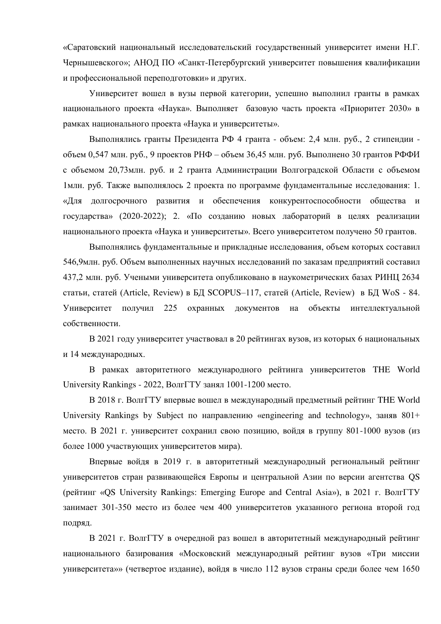«Саратовский национальный исследовательский государственный университет имени Н.Г. Чернышевского»; АНОД ПО «Санкт-Петербургский университет повышения квалификации и профессиональной переподготовки» и других.

Университет вошел в вузы первой категории, успешно выполнил гранты в рамках национального проекта «Наука». Выполняет базовую часть проекта «Приоритет 2030» в рамках национального проекта «Наука и университеты».

Выполнялись гранты Президента РФ 4 гранта - объем: 2,4 млн. руб., 2 стипендии - $16547$  млн. руб., 9 проектов РНФ – объем 36,45 млн. руб. Выполнено 30 грантов РФФИ с объемом 20,73млн. руб. и 2 гранта Администрации Волгоградской Области с объемом 1млн. руб. Также выполнялось 2 проекта по программе фундаментальные исследования: 1. «Для долгосрочного развития и обеспечения конкурентоспособности общества и государства» (2020-2022); 2. «По созданию новых лабораторий в целях реализации национального проекта «Наука и университеты». Всего университетом получено 50 грантов.

Выполнялись фундаментальные и прикладные исследования, объем которых составил 546,9млн. руб. Объем выполненных научных исследований по заказам предприятий составил 437,2 млн. руб. Учеными университета опубликовано в наукометрических базах РИНЦ 2634 статьи, статей (Article, Review) в БД SCOPUS–117, статей (Article, Review) в БД WoS - 84. Университет получил 225 охранных документов на объекты интеллектуальной собственности.

В 2021 году университет участвовал в 20 рейтингах вузов, из которых 6 национальных и 14 международных.

В рамках авторитетного международного рейтинга университетов THE World University Rankings - 2022, ВолгГТУ занял 1001-1200 место.

В 2018 г. ВолгГТУ впервые вошел в международный предметный рейтинг THE World University Rankings by Subject  $\pi$  направлению «engineering and technology», заняв  $801+$ место. В 2021 г. университет сохранил свою позицию, войдя в группу 801-1000 вузов (из более 1000 участвующих университетов мира).

Впервые войдя в 2019 г. в авторитетный международный региональный рейтинг университетов стран развивающейся Европы и центральной Азии по версии агентства QS (Deйтинг «OS University Rankings: Emerging Europe and Central Asia»), в 2021 г. ВолгГТУ занимает 301-350 место из более чем 400 университетов указанного региона второй год подряд.

В 2021 г. ВолгГТУ в очередной раз вошел в авторитетный международный рейтинг национального базирования «Московский международный рейтинг вузов «Три миссии университета»» (четвертое издание), войдя в число 112 вузов страны среди более чем 1650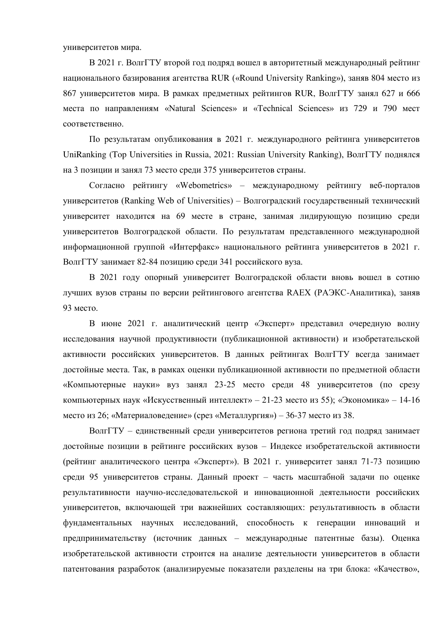университетов мира.

В 2021 г. ВолгГТУ второй год подряд вошел в авторитетный международный рейтинг Hационального базирования агентства RUR («Round University Ranking»), заняв 804 место из 867 университетов мира. В рамках предметных рейтингов RUR, ВолгГТУ занял 627 и 666 места по направлениям «Natural Sciences» и «Technical Sciences» из 729 и 790 мест соответственно.

По результатам опубликования в 2021 г. международного рейтинга университетов UniRanking (Top Universities in Russia, 2021: Russian University Ranking), ВолгГТУ поднялся на 3 позиции и занял 73 место среди 375 университетов страны.

Согласно рейтингу «Webometrics» – международному рейтингу веб-порталов университетов (Ranking Web of Universities) – Волгоградский государственный технический университет находится на 69 месте в стране, занимая лидирующую позицию среди университетов Волгоградской области. По результатам представленного международной информационной группой «Интерфакс» национального рейтинга университетов в 2021 г. ВолгГТУ занимает 82-84 позицию среди 341 российского вуза.

В 2021 году опорный университет Волгоградской области вновь вошел в сотню лучших вузов страны по версии рейтингового агентства RAEX (РАЭКС-Аналитика), заняв 93 место.

В июне 2021 г. аналитический центр «Эксперт» представил очередную волну исследования научной продуктивности (публикационной активности) и изобретательской активности российских университетов. В данных рейтингах ВолгГТУ всегда занимает достойные места. Так, в рамках оценки публикационной активности по предметной области «Компьютерные науки» вуз занял 23-25 место среди 48 университетов (по срезу компьютерных наук «Искусственный интеллект» – 21-23 место из 55); «Экономика» – 14-16 место из 26; «Материаловедение» (срез «Металлургия») – 36-37 место из 38.

ВолгГТУ – единственный среди университетов региона третий год подряд занимает достойные позиции в рейтинге российских вузов – Индексе изобретательской активности (рейтинг аналитического центра «Эксперт»). В 2021 г. университет занял 71-73 позицию среди 95 университетов страны. Данный проект – часть масштабной задачи по оценке результативности научно-исследовательской и инновационной деятельности российских университетов, включающей три важнейших составляющих: результативность в области фундаментальных научных исследований, способность к генерации инноваций и предпринимательству (источник данных – международные патентные базы). Оценка изобретательской активности строится на анализе деятельности университетов в области патентования разработок (анализируемые показатели разделены на три блока: «Качество»,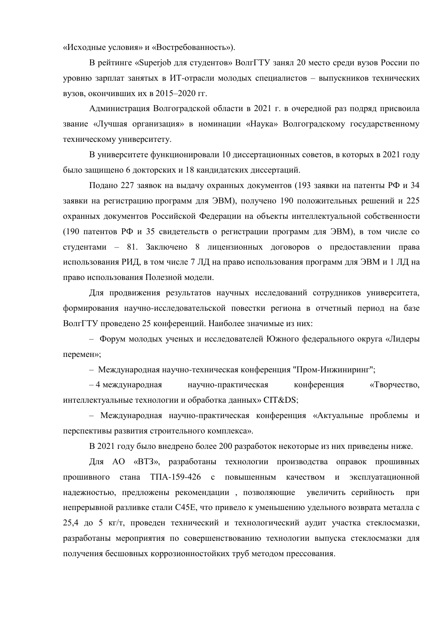«Исходные условия» и «Востребованность»).

В рейтинге «Superjob для студентов» ВолгГТУ занял 20 место среди вузов России по уровню зарплат занятых в ИТ-отрасли молодых специалистов – выпускников технических вузов, окончивших их в 2015–2020 гг.

Администрация Волгоградской области в 2021 г. в очередной раз подряд присвоила звание «Лучшая организация» в номинации «Наука» Волгоградскому государственному техническому университету.

В университете функционировали 10 диссертационных советов, в которых в 2021 году было защищено 6 докторских и 18 кандидатских диссертаций.

Подано 227 заявок на выдачу охранных документов (193 заявки на патенты РФ и 34 заявки на регистрацию программ для ЭВМ), получено 190 положительных решений и 225 охранных документов Российской Федерации на объекты интеллектуальной собственности (190 патентов РФ и 35 свидетельств о регистрации программ для ЭВМ), в том числе со студентами – 81. Заключено 8 лицензионных договоров о предоставлении права использования РИД, в том числе 7 ЛД на право использования программ для ЭВМ и 1 ЛД на право использования Полезной модели.

Для продвижения результатов научных исследований сотрудников университета, формирования научно-исследовательской повестки региона в отчетный период на базе ВолгГТУ проведено 25 конференций. Наиболее значимые из них:

– Форум молодых ученых и исследователей Южного федерального округа «Лидеры перемен»;

– Международная научно-техническая конференция "Пром-Инжиниринг";

– 4 международная научно-практическая конференция «Творчество, интеллектуальные технологии и обработка данных» CIT&DS;

– Международная научно-практическая конференция «Актуальные проблемы и перспективы развития строительного комплекса».

В 2021 году было внедрено более 200 разработок некоторые из них приведены ниже.

Для АО «ВТЗ», разработаны технологии производства оправок прошивных прошивного стана ТПА-159-426 с повышенным качеством и эксплуатационной надежностью, предложены рекомендации, позволяющие увеличить серийность при непрерывной разливке стали С45Е, что привело к уменьшению удельного возврата металла с 25,4 до 5 кг/т, проведен технический и технологический аудит участка стеклосмазки, разработаны мероприятия по совершенствованию технологии выпуска стеклосмазки для получения бесшовных коррозионностойких труб методом прессования.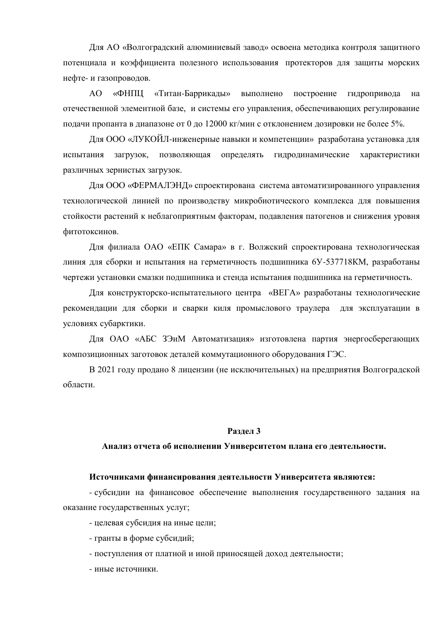Для АО «Волгоградский алюминиевый завод» освоена методика контроля защитного потенциала и коэффициента полезного использования протекторов для защиты морских нефте- и газопроводов.

АО «ФНПЦ «Титан-Баррикады» выполнено построение гидропривода на отечественной элементной базе, и системы его управления, обеспечивающих регулирование подачи пропанта в диапазоне от 0 до 12000 кг/мин с отклонением дозировки не более 5%.

Для ООО «ЛУКОЙЛ-инженерные навыки и компетенции» разработана установка для испытания загрузок, позволяющая определять гидродинамические характеристики различных зернистых загрузок.

Для ООО «ФЕРМАЛЭНД» спроектирована система автоматизированного управления технологической линией по производству микробиотического комплекса для повышения стойкости растений к неблагоприятным факторам, подавления патогенов и снижения уровня фитотоксинов.

Для филиала ОАО «ЕПК Самара» в г. Волжский спроектирована технологическая линия для сборки и испытания на герметичность подшипника 6У-537718КМ, разработаны чертежи установки смазки подшипника и стенда испытания подшипника на герметичность.

Для конструкторско-испытательного центра «ВЕГА» разработаны технологические рекомендации для сборки и сварки киля промыслового траулера для эксплуатации в условиях субарктики.

Для ОАО «АБС ЗЭиМ Автоматизация» изготовлена партия энергосберегающих композиционных заготовок деталей коммутационного оборудования ГЭС.

В 2021 году продано 8 лицензии (не исключительных) на предприятия Волгоградской области.

#### Разлел 3

### Анализ отчета об исполнении Университетом плана его деятельности.

## Источниками финансирования деятельности Университета являются:

- субсидии на финансовое обеспечение выполнения государственного задания на оказание государственных услуг;

- целевая субсидия на иные цели;

- гранты в форме субсидий;

- поступления от платной и иной приносящей доход деятельности;

- иные источники.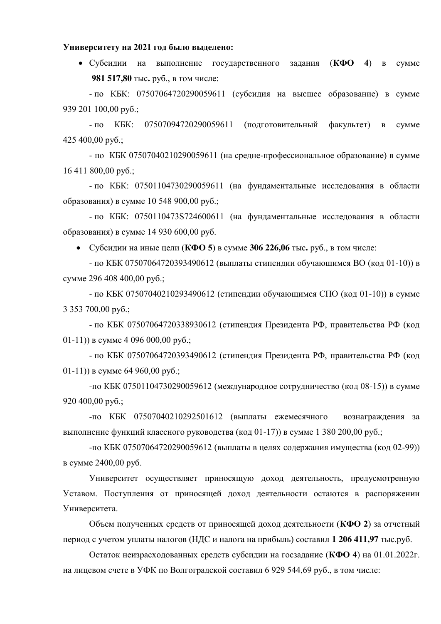### **Университету на 2021 год было выделено:**

• Субсидии на выполнение государственного задания (КФО 4) в сумме **981 517,80 тыс. руб., в том числе:** 

- по КБК: 07507064720290059611 (субсидия на высшее образование) в сумме 939 201 100,00 pyő.;

- по КБК: 07507094720290059611 (полготовительный факультет) в сумме 425 400,00  $py6$ .;

- по КБК 07507040210290059611 (на средне-профессиональное образование) в сумме  $16411800,00 \text{ py6.};$ 

- по КБК: 07501104730290059611 (на фундаментальные исследования в области образования) в сумме 10 548 900,00 руб.;

- по КБК: 0750110473S724600611 (на фундаментальные исследования в области образования) в сумме 14 930 600,00 руб.

• Субсилии на иные цели ( $K\Phi$ О 5) в сумме 306 226,06 тыс. руб., в том числе:

- по КБК 07507064720393490612 (выплаты стипендии обучающимся ВО (код 01-10)) в сумме 296 408 400,00 руб.;

- по КБК 07507040210293490612 (стипендии обучающимся СПО (код 01-10)) в сумме  $3\,353\,700.00\,\text{pv6}$ .;

- по КБК 07507064720338930612 (стипендия Президента РФ, правительства РФ (код  $(01-11)$ ) в сумме 4 096 000,00 руб.;

- по КБК 07507064720393490612 (стипендия Президента РФ, правительства РФ (код  $(01-11)$ ) в сумме 64 960,00 руб.;

-по КБК 07501104730290059612 (международное сотрудничество (код 08-15)) в сумме 920 400,00  $py6$ .;

-по КБК 07507040210292501612 (выплаты ежемесячного вознаграждения за выполнение функций классного руководства (код 01-17)) в сумме 1 380 200,00 руб.;

-по КБК 07507064720290059612 (выплаты в целях содержания имущества (код 02-99)) в сумме 2400,00 руб.

Университет осуществляет приносящую доход деятельность, предусмотренную Уставом. Поступления от приносящей доход деятельности остаются в распоряжении Университета.

Объем полученных средств от приносящей доход деятельности (КФО 2) за отчетный период с учетом уплаты налогов (НДС и налога на прибыль) составил 1 206 411,97 тыс.руб.

Остаток неизрасходованных средств субсидии на госзадание (КФО 4) на 01.01.2022г. на лицевом счете в УФК по Волгоградской составил 6 929 544,69 руб., в том числе: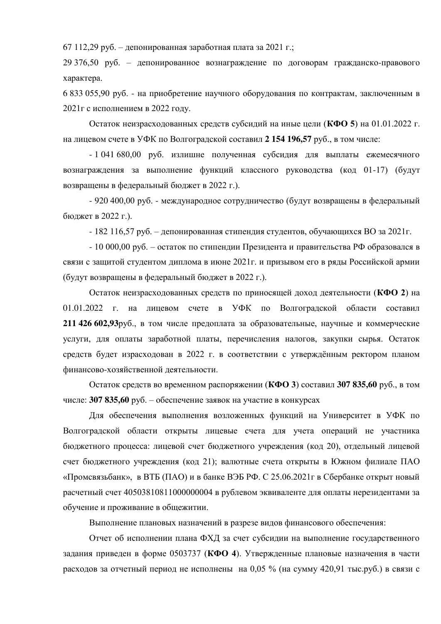67 112,29 руб. – депонированная заработная плата за 2021 г.;

29 376,50 руб. – депонированное вознаграждение по договорам гражданско-правового xapaktepa.

6 833 055,90 руб. - на приобретение научного оборудования по контрактам, заключенным в  $2021$ г с исполнением в 2022 году.

Остаток неизрасходованных средств субсидий на иные цели (КФО 5) на 01.01.2022 г. на лицевом счете в УФК по Волгоградской составил 2 154 196,57 руб., в том числе:

- 1 041 680,00 руб. излишне полученная субсидия для выплаты ежемесячного вознаграждения за выполнение функций классного руководства (код 01-17) (будут возвращены в федеральный бюджет в 2022 г.).

- 920 400,00 руб. - международное сотрудничество (будут возвращены в федеральный бюджет в 2022 г.).

 $-182$  116,57 руб. – депонированная стипендия студентов, обучающихся ВО за 2021г.

 $-10\,000,00\,$ руб. – остаток по стипендии Президента и правительства РФ образовался в связи с защитой студентом диплома в июне 2021 г. и призывом его в ряды Российской армии (будут возвращены в федеральный бюджет в 2022 г.).

Остаток неизрасходованных средств по приносящей доход деятельности (КФО 2) на 01.01.2022 г. на лицевом счете в УФК по Волгоградской области составил **211 426 602,93**руб., в том числе предоплата за образовательные, научные и коммерческие үслүги, для оплаты заработной платы, перечисления налогов, закупки сырья. Остаток средств будет израсходован в 2022 г. в соответствии с утверждённым ректором планом финансово-хозяйственной деятельности.

Остаток средств во временном распоряжении (КФО 3) составил 307 835,60 руб., в том числе: **307 835,60** руб. – обеспечение заявок на участие в конкурсах

Для обеспечения выполнения возложенных функций на Университет в УФК по Волгоградской области открыты лицевые счета для учета операций не участника бюджетного процесса: лицевой счет бюджетного учреждения (код 20), отдельный лицевой счет бюджетного учреждения (код 21); валютные счета открыты в Южном филиале ПАО «Промсвязьбанк», в ВТБ (ПАО) и в банке ВЭБ РФ, С 25.06.2021 г в Сбербанке открыт новый расчетный счет  $40503810811000000004$  в рублевом эквиваленте для оплаты нерезидентами за обучение и проживание в общежитии.

Выполнение плановых назначений в разрезе видов финансового обеспечения:

Отчет об исполнении плана ФХД за счет субсидии на выполнение государственного задания приведен в форме 0503737 (КФО 4). Утвержденные плановые назначения в части расходов за отчетный период не исполнены на 0,05 % (на сумму 420,91 тыс.руб.) в связи с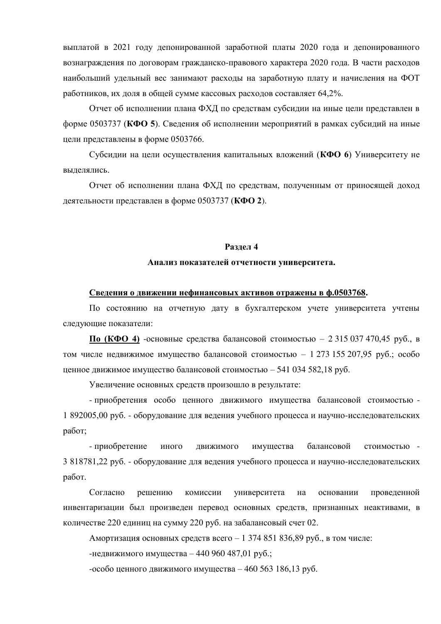выплатой в 2021 году депонированной заработной платы 2020 года и депонированного вознаграждения по договорам гражданско-правового характера 2020 года. В части расходов наибольший удельный вес занимают расходы на заработную плату и начисления на ФОТ работников, их доля в общей сумме кассовых расходов составляет 64,2%.

Отчет об исполнении плана ФХД по средствам субсидии на иные цели представлен в форме 0503737 (КФО 5). Сведения об исполнении мероприятий в рамках субсидий на иные цели представлены в форме 0503766.

Субсидии на цели осуществления капитальных вложений (КФО 6) Университету не вылелялись.

Отчет об исполнении плана ФХД по средствам, полученным от приносящей доход деятельности представлен в форме 0503737 (КФО 2).

## Разлел 4

#### Анализ показателей отчетности университета.

#### Сведения о движении нефинансовых активов отражены в ф.0503768.

По состоянию на отчетную дату в бухгалтерском учете университета учтены следующие показатели:

 $\Pi$ **о** (КФО 4) -основные средства балансовой стоимостью – 2 315 037 470,45 руб., в том числе недвижимое имущество балансовой стоимостью – 1 273 155 207,95 руб.; особо ценное движимое имущество балансовой стоимостью - 541 034 582,18 руб.

Увеличение основных средств произошло в результате:

- приобретения особо ценного движимого имущества балансовой стоимостью -1 892005,00 руб. - оборудование для ведения учебного процесса и научно-исследовательских работ;

- приобретение иного движимого имущества балансовой стоимостью -3 818781,22 руб. - оборудование для ведения учебного процесса и научно-исследовательских работ.

Согласно решению комиссии университета на основании проведенной инвентаризации был произведен перевод основных средств, признанных неактивами, в количестве 220 единиц на сумму 220 руб. на забалансовый счет 02.

Амортизация основных средств всего - 1 374 851 836,89 руб., в том числе:

-недвижимого имущества – 440 960 487,01 руб.;

-особо ценного движимого имущества – 460 563 186,13 руб.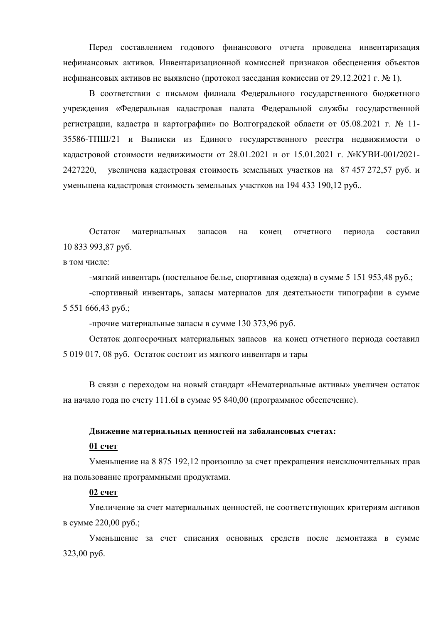Перед составлением годового финансового отчета проведена инвентаризация нефинансовых активов. Инвентаризационной комиссией признаков обесценения объектов нефинансовых активов не выявлено (протокол заседания комиссии от 29.12.2021 г. № 1).

В соответствии с письмом филиала Федерального государственного бюджетного учреждения «Федеральная кадастровая палата Федеральной службы государственной регистрации, кадастра и картографии» по Волгоградской области от 05.08.2021 г. № 11-35586-ТПШ/21 и Выписки из Единого государственного реестра недвижимости о кадастровой стоимости недвижимости от 28.01.2021 и от 15.01.2021 г. №КУВИ-001/2021-2427220, увеличена кадастровая стоимость земельных участков на 87 457 272,57 руб. и үменьшена кадастровая стоимость земельных участков на 194 433 190,12 руб...

Остаток материальных запасов на конец отчетного периода составил 10 833 993,87 pyő.

в том числе:

-мягкий инвентарь (постельное белье, спортивная одежда) в сумме 5 151 953,48 руб.;

-спортивный инвентарь, запасы материалов для деятельности типографии в сумме  $5\,551\,666,43\,$  py $6$ .;

-прочие материальные запасы в сумме 130 373,96 руб.

Остаток долгосрочных материальных запасов на конец отчетного периода составил  $5019017$ , 08 руб. Остаток состоит из мягкого инвентаря и тары

В связи с переходом на новый стандарт «Нематериальные активы» увеличен остаток на начало года по счету 111.6I в сумме 95 840,00 (программное обеспечение).

### Движение материальных ценностей на забалансовых счетах:

### **01 счет**

Уменьшение на 8 875 192,12 произошло за счет прекращения неисключительных прав на пользование программными продуктами.

# **02 счет**

Увеличение за счет материальных ценностей, не соответствующих критериям активов  $B$  cymme 220,00 py $6$ .;

Уменьшение за счет списания основных средств после демонтажа в сумме  $323,00$  py $6$ .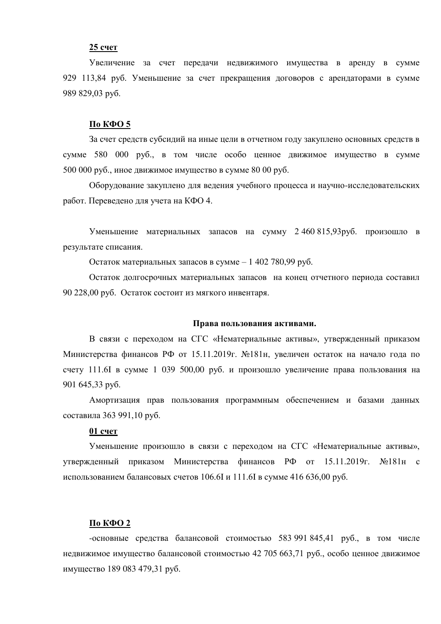## **25 счет**

Увеличение за счет передачи недвижимого имущества в аренду в сумме 929 113,84 руб. Уменьшение за счет прекращения договоров с арендаторами в сумме 989 829,03 pyő.

#### $\Pi$ <sub>0</sub> K $\Phi$ <sup>O</sup> 5

За счет средств субсидий на иные цели в отчетном году закуплено основных средств в сумме 580 000 руб., в том числе особо ценное движимое имущество в сумме  $500000$  руб., иное движимое имущество в сумме  $8000$  руб.

Оборудование закуплено для ведения учебного процесса и научно-исследовательских работ. Переведено для учета на КФО 4.

Уменьшение материальных запасов на сумму 2 460 815,93руб. произошло в результате списания.

Остаток материальных запасов в сумме - 1 402 780,99 руб.

Остаток долгосрочных материальных запасов на конец отчетного периода составил 90 228,00 руб. Остаток состоит из мягкого инвентаря.

### Права пользования активами.

В связи с переходом на СГС «Нематериальные активы», утвержденный приказом Министерства финансов РФ от 15.11.2019г. №181н, увеличен остаток на начало года по счету 111.6I в сумме 1 039 500,00 руб. и произошло увеличение права пользования на 901 645,33 pyő.

Амортизация прав пользования программным обеспечением и базами данных составила 363 991,10 руб.

#### **01 счет**

Уменьшение произошло в связи с переходом на СГС «Нематериальные активы», утвержденный приказом Министерства финансов РФ от 15.11.2019г. №181н с использованием балансовых счетов 106.6I и 111.6I в сумме 416 636,00 руб.

## По КФО 2

-основные средства балансовой стоимостью 583 991 845,41 руб., в том числе недвижимое имущество балансовой стоимостью 42 705 663,71 руб., особо ценное движимое имущество 189 083 479,31 руб.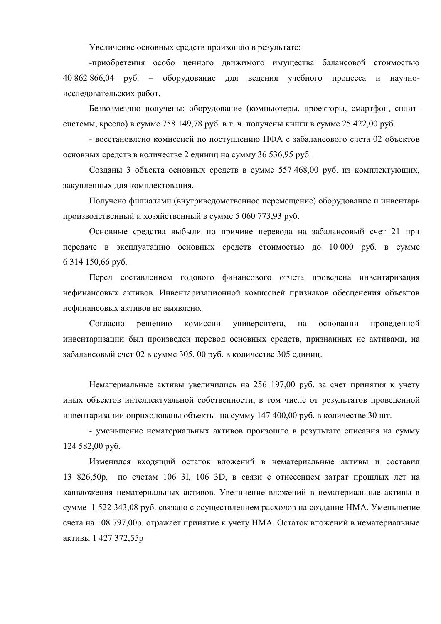Увеличение основных средств произошло в результате:

-приобретения особо ценного движимого имущества балансовой стоимостью 40 862 866,04 руб. – оборудование для ведения учебного процесса и научноисследовательских работ.

Безвозмездно получены: оборудование (компьютеры, проекторы, смартфон, сплитсистемы, кресло) в сумме 758 149,78 руб. в т. ч. получены книги в сумме 25 422,00 руб.

- восстановлено комиссией по поступлению НФА с забалансового счета 02 объектов основных средств в количестве 2 единиц на сумму 36 536,95 руб.

Созданы 3 объекта основных средств в сумме 557 468,00 руб. из комплектующих, закупленных для комплектования.

Получено филиалами (внутриведомственное перемещение) оборудование и инвентарь производственный и хозяйственный в сумме 5 060 773,93 руб.

Основные средства выбыли по причине перевода на забалансовый счет 21 при передаче в эксплуатацию основных средств стоимостью до 10 000 руб. в сумме  $6314150,66 \text{ py6}.$ 

Перед составлением годового финансового отчета проведена инвентаризация нефинансовых активов. Инвентаризационной комиссией признаков обесценения объектов нефинансовых активов не выявлено.

Согласно решению комиссии университета, на основании проведенной инвентаризации был произведен перевод основных средств, признанных не активами, на забалансовый счет 02 в сумме 305, 00 руб. в количестве 305 единиц.

Нематериальные активы увеличились на 256 197,00 руб. за счет принятия к учету иных объектов интеллектуальной собственности, в том числе от результатов проведенной инвентаризации оприходованы объекты на сумму 147 400,00 руб. в количестве 30 шт.

- уменьшение нематериальных активов произошло в результате списания на сумму  $124582,00 \text{ py6}.$ 

Изменился входящий остаток вложений в нематериальные активы и составил 13 826,50p. по счетам 106 3I, 106 3D, в связи с отнесением затрат прошлых лет на капвложения нематериальных активов. Увеличение вложений в нематериальные активы в сумме 1 522 343,08 руб. связано с осуществлением расходов на создание НМА. Уменьшение счета на 108 797,00р. отражает принятие к учету НМА. Остаток вложений в нематериальные активы 1 427 372,55р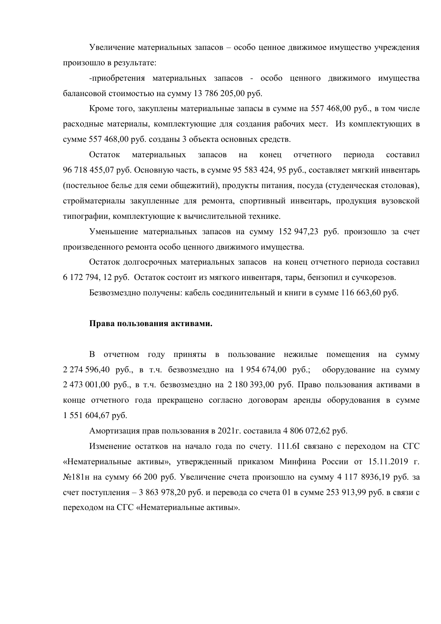Увеличение материальных запасов – особо ценное движимое имущество учреждения произошло в результате:

-приобретения материальных запасов - особо ценного движимого имущества балансовой стоимостью на сумму 13 786 205,00 руб.

Кроме того, закуплены материальные запасы в сумме на 557 468,00 руб., в том числе расходные материалы, комплектующие для создания рабочих мест. Из комплектующих в сумме 557 468,00 руб. созданы 3 объекта основных средств.

Остаток материальных запасов на конец отчетного периода составил 96 718 455,07 руб. Основную часть, в сумме 95 583 424, 95 руб., составляет мягкий инвентарь (постельное белье для семи общежитий), продукты питания, посуда (студенческая столовая), стройматериалы закупленные для ремонта, спортивный инвентарь, продукция вузовской типографии, комплектующие к вычислительной технике.

Уменьшение материальных запасов на сумму 152 947,23 руб. произошло за счет произведенного ремонта особо ценного движимого имущества.

Остаток долгосрочных материальных запасов на конец отчетного периода составил 6 172 794, 12 руб. Остаток состоит из мягкого инвентаря, тары, бензопил и сучкорезов.

Безвозмездно получены: кабель соединительный и книги в сумме 116 663,60 руб.

### Права пользования активами.

В отчетном году приняты в пользование нежилые помещения на сумму  $2\,274\,596.40\,$  pvб., в т.ч. безвозмездно на 1 954 674,00 руб.; оборудование на сумму  $2.473001,00$  руб., в т.ч. безвозмездно на  $2.180393,00$  руб. Право пользования активами в конце отчетного года прекращено согласно договорам аренды оборудования в сумме 1 551 604,67 pyő.

Амортизация прав пользования в 2021 г. составила 4 806 072,62 руб.

Изменение остатков на начало года по счету. 111.6I связано с переходом на СГС «Нематериальные активы», утвержденный приказом Минфина России от 15.11.2019 г. №181н на сумму 66 200 руб. Увеличение счета произошло на сумму 4 117 8936,19 руб. за счет поступления – 3 863 978,20 руб. и перевода со счета 01 в сумме 253 913,99 руб. в связи с переходом на СГС «Нематериальные активы».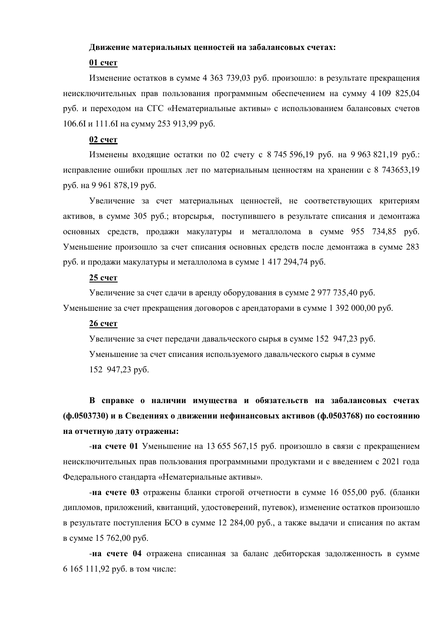### **Лвижение материальных ценностей на забалансовых счетах:**

# **01 счет**

Изменение остатков в сумме 4 363 739,03 руб. произошло: в результате прекращения неисключительных прав пользования программным обеспечением на сумму 4 109 825,04 руб. и переходом на СГС «Нематериальные активы» с использованием балансовых счетов 106.6I и 111.6I на сумму 253 913,99 руб.

#### **02 счет**

Изменены входящие остатки по 02 счету с 8 745 596,19 руб. на 9 963 821,19 руб.: исправление ошибки прошлых лет по материальным ценностям на хранении с 8 743653,19 руб. на 9 961 878,19 руб.

Увеличение за счет материальных ценностей, не соответствующих критериям активов, в сумме 305 руб.; вторсырья, поступившего в результате списания и демонтажа основных средств, продажи макулатуры и металлолома в сумме 955 734,85 руб. Уменьшение произошло за счет списания основных средств после демонтажа в сумме 283 руб. и продажи макулатуры и металлолома в сумме 1 417 294,74 руб.

## **25 счет**

Увеличение за счет сдачи в аренду оборудования в сумме 2 977 735,40 руб.

Уменьшение за счет прекращения договоров с арендаторами в сумме 1 392 000,00 руб.

# 26 счет

Увеличение за счет передачи давальческого сырья в сумме 152 947,23 руб. Уменьшение за счет списания используемого давальческого сырья в сумме 152 947,23 py6.

В справке о наличии имущества и обязательств на забалансовых счетах (ф.0503730) и в Сведениях о движении нефинансовых активов (ф.0503768) по состоянию **НА ОТЧЕТНУЮ ДАТУ ОТРАЖЕНЫ:** 

-на счете 01 Уменьшение на 13 655 567,15 руб. произошло в связи с прекращением неисключительных прав пользования программными продуктами и с введением с 2021 года Федерального стандарта «Нематериальные активы».

**-на счете 03** отражены бланки строгой отчетности в сумме 16 055,00 руб. (бланки дипломов, приложений, квитанций, удостоверений, путевок), изменение остатков произошло в результате поступления БСО в сумме 12 284,00 руб., а также выдачи и списания по актам в сумме 15 762,00 руб.

-на счете 04 отражена списанная за баланс дебиторская задолженность в сумме  $6 165 111,92$  руб. в том числе: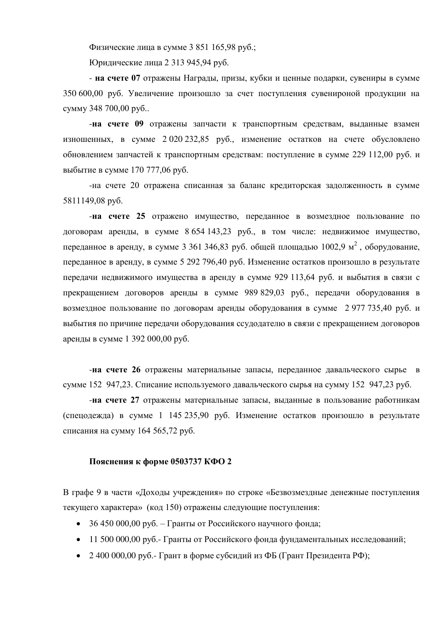Физические лица в сумме 3 851 165,98 руб.;

Юридические лица 2 313 945,94 руб.

- на счете 07 отражены Награды, призы, кубки и ценные подарки, сувениры в сумме 350 600,00 руб. Увеличение произошло за счет поступления сувенироной продукции на сумму 348 700,00 руб..

-на счете 09 отражены запчасти к транспортным средствам, выданные взамен изношенных, в сумме  $2\,020\,232.85$  руб., изменение остатков на счете обусловлено обновлением запчастей к транспортным средствам: поступление в сумме 229 112,00 руб. и выбытие в сумме 170 777,06 руб.

-на счете 20 отражена списанная за баланс кредиторская задолженность в сумме 5811149,08 py6.

-на счете 25 отражено имущество, переданное в возмездное пользование по договорам аренды, в сумме 8 654 143,23 руб., в том числе: недвижимое имущество, переданное в аренду, в сумме 3 361 346,83 руб. общей площадью 1002,9 м<sup>2</sup>, оборудование, переданное в аренду, в сумме 5 292 796,40 руб. Изменение остатков произошло в результате передачи недвижимого имущества в аренду в сумме 929 113,64 руб. и выбытия в связи с прекращением договоров аренды в сумме 989 829,03 руб., передачи оборудования в возмездное пользование по договорам аренды оборудования в сумме 2977 735,40 руб. и выбытия по причине передачи оборудования ссудодателю в связи с прекращением договоров аренды в сумме 1 392 000,00 руб.

-**на счете 26** отражены материальные запасы, переданное давальческого сырье в сумме 152 947,23. Списание используемого давальческого сырья на сумму 152 947,23 руб.

**-на счете 27** отражены материальные запасы, выданные в пользование работникам (спецодежда) в сумме 1 145 235,90 руб. Изменение остатков произошло в результате списания на сумму 164 565,72 руб.

#### Пояснения к форме 0503737 КФО 2

В графе 9 в части «Доходы учреждения» по строке «Безвозмездные денежные поступления текущего характера» (код 150) отражены следующие поступления:

- 36 450 000,00 руб. Гранты от Российского научного фонда;
- 11 500 000,00 руб. Гранты от Российского фонда фундаментальных исследований;
- 2 400 000,00 pv<sub>0</sub>.- Грант в форме субсидий из ФБ (Грант Президента РФ);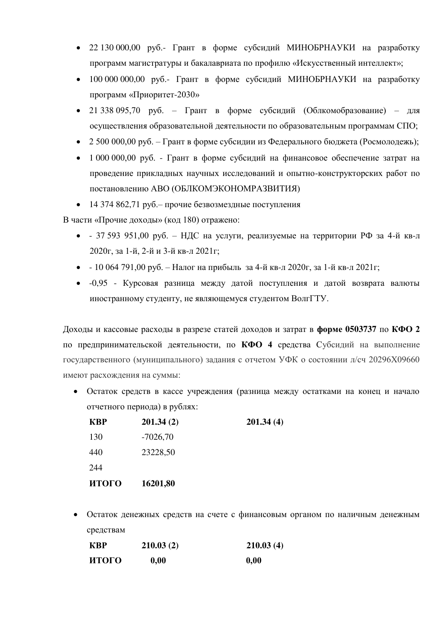- 22 130 000,00 руб.- Грант в форме субсидий МИНОБРНАУКИ на разработку программ магистратуры и бакалавриата по профилю «Искусственный интеллект»;
- $100\,000\,000,00$  руб.- Грант в форме субсидий МИНОБРНАУКИ на разработку программ «Приоритет-2030»
- 21 338 095,70 руб. Грант в форме субсидий (Облкомобразование) для осуществления образовательной деятельности по образовательным программам СПО;
- 2 500 000,00 руб. Грант в форме субсидии из Федерального бюджета (Росмолодежь);
- $1\,000\,000\,00$  руб. Грант в форме субсидий на финансовое обеспечение затрат на проведение прикладных научных исследований и опытно-конструкторских работ по постановлению АВО (ОБЛКОМЭКОНОМРАЗВИТИЯ)
- 14 374 862,71 руб. прочие безвозмездные поступления

В части «Прочие доходы» (код 180) отражено:

- $\bullet$  37 593 951,00 руб. НДС на услуги, реализуемые на территории РФ за 4-й кв-л 2020г, за 1-й, 2-й и 3-й кв-л 2021г;
- - 10 064 791,00 руб. Налог на прибыль за 4-й кв-л 2020г, за 1-й кв-л 2021г;
- -0,95 Курсовая разница между датой поступления и датой возврата валюты иностранному студенту, не являющемуся студентом ВолгГТУ.

Доходы и кассовые расходы в разрезе статей доходов и затрат в форме 0503737 по КФО 2 по предпринимательской деятельности, по КФО 4 средства Субсидий на выполнение государственного (муниципального) задания с отчетом УФК о состоянии л/сч 20296Х09660 имеют расхождения на суммы:

• Остаток средств в кассе учреждения (разница между остатками на конец и начало отчетного периода) в рублях:

| <b>KBP</b> | 201.34(2)  | 201.34(4) |
|------------|------------|-----------|
| 130        | $-7026,70$ |           |
| 440        | 23228,50   |           |
| 244        |            |           |
| итого      | 16201,80   |           |

• Остаток денежных средств на счете с финансовым органом по наличным денежным cpeдствам

| <b>KBP</b> | 210.03(2) | 210.03(4) |
|------------|-----------|-----------|
| итого      | 0,00      | 0,00      |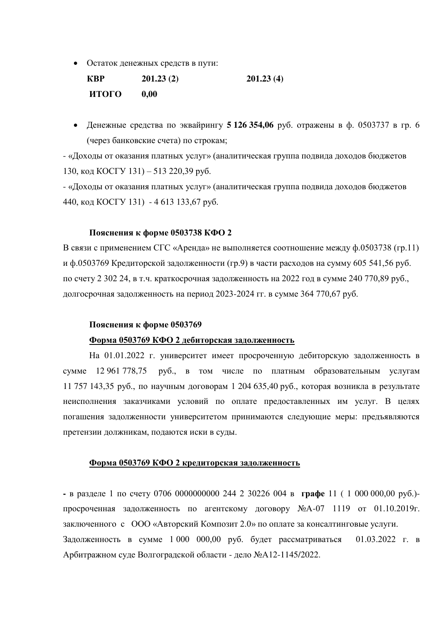• Остаток денежных средств в пути:

| <b>KBP</b>   | 201.23(2) | 201.23(4) |
|--------------|-----------|-----------|
| <b>ИТОГО</b> | 0,00      |           |

• Денежные средства по эквайрингу 5 126 354,06 руб. отражены в ф. 0503737 в гр. 6 (через банковские счета) по строкам;

- «Доходы от оказания платных услуг» (аналитическая группа подвида доходов бюджетов 130, код КОСГУ 131) – 513 220,39 руб.

- «Доходы от оказания платных услуг» (аналитическая группа подвида доходов бюджетов 440, код КОСГУ 131) - 4 613 133,67 руб.

## Пояснения к форме 0503738 КФО 2

В связи с применением СГС «Аренда» не выполняется соотношение между ф.0503738 (гр.11) и ф.0503769 Кредиторской задолженности (гр.9) в части расходов на сумму 605 541,56 руб. по счету 2 302 24, в т.ч. краткосрочная задолженность на 2022 год в сумме 240 770,89 руб., долгосрочная задолженность на период 2023-2024 гг. в сумме 364 770,67 руб.

## Пояснения к форме 0503769

## Форма 0503769 КФО 2 дебиторская задолженность

На 01.01.2022 г. университет имеет просроченную дебиторскую задолженность в сумме 12 961 778,75 руб., в том числе по платным образовательным услугам 11 757 143,35 руб., по научным договорам 1 204 635,40 руб., которая возникла в результате неисполнения заказчиками условий по оплате предоставленных им услуг. В целях погашения задолженности университетом принимаются следующие меры: предъявляются претензии должникам, подаются иски в суды.

### Форма 0503769 КФО 2 кредиторская задолженность

• в разделе 1 по счету 0706 0000000000 244 2 30226 004 в графе 11 ( 1 000 000,00 руб.)просроченная задолженность по агентскому договору №А-07 1119 от 01.10.2019г. заключенного с ООО «Авторский Композит 2.0» по оплате за консалтинговые услуги. Задолженность в сумме 1 000 000,00 руб. будет рассматриваться 01.03.2022 г. в Арбитражном суде Волгоградской области - дело №А12-1145/2022.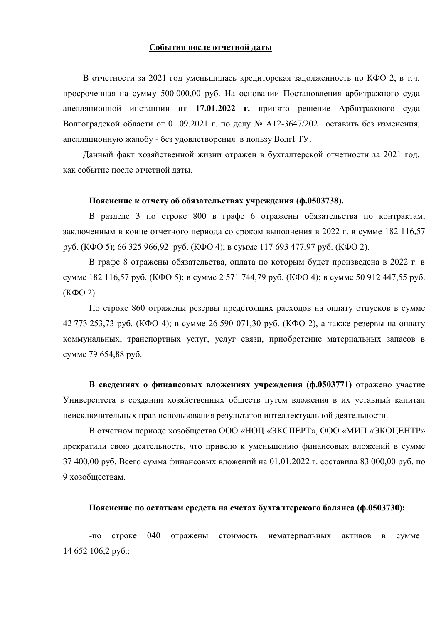#### **События после отчетной даты**

В отчетности за 2021 год уменьшилась кредиторская задолженность по КФО 2, в т.ч. просроченная на сумму 500 000,00 руб. На основании Постановления арбитражного суда апелляционной инстанции **от 17.01.2022 г.** принято решение Арбитражного суда Волгоградской области от 01.09.2021 г. по делу № А12-3647/2021 оставить без изменения, апелляционную жалобу - без удовлетворения в пользу ВолгГТУ.

Данный факт хозяйственной жизни отражен в бухгалтерской отчетности за 2021 год, как событие после отчетной даты.

#### Пояснение к отчету об обязательствах учреждения (ф.0503738).

В разделе 3 по строке 800 в графе 6 отражены обязательства по контрактам, заключенным в конце отчетного периода со сроком выполнения в 2022 г. в сумме 182 116,57 pyō. (K $\Phi$ O 5); 66 325 966,92 pyō. (K $\Phi$ O 4); в сумме 117 693 477,97 pyō. (K $\Phi$ O 2).

В графе 8 отражены обязательства, оплата по которым будет произведена в 2022 г. в сумме 182 116,57 руб. (КФО 5); в сумме 2 571 744,79 руб. (КФО 4); в сумме 50 912 447,55 руб.  $(K\Phi O 2)$ .

По строке 860 отражены резервы предстоящих расходов на оплату отпусков в сумме 42 773 253,73 руб. (КФО 4); в сумме 26 590 071,30 руб. (КФО 2), а также резервы на оплату коммунальных, транспортных услуг, услуг связи, приобретение материальных запасов в cymme 79 654,88 py6.

В сведениях о финансовых вложениях учреждения (ф.0503771) отражено участие Университета в создании хозяйственных обществ путем вложения в их уставный капитал неисключительных прав использования результатов интеллектуальной деятельности.

В отчетном периоде хозобщества ООО «НОЦ «ЭКСПЕРТ», ООО «МИП «ЭКОЦЕНТР» прекратили свою деятельность, что привело к уменьшению финансовых вложений в сумме 37 400,00 руб. Всего сумма финансовых вложений на 01.01.2022 г. составила 83 000,00 руб. по 9 хозобшествам

#### Пояснение по остаткам средств на счетах бухгалтерского баланса (ф.0503730):

-по строке 040 отражены стоимость нематериальных активов в сумме  $14\,652\,106.2\,$  pv<sub>0</sub>.;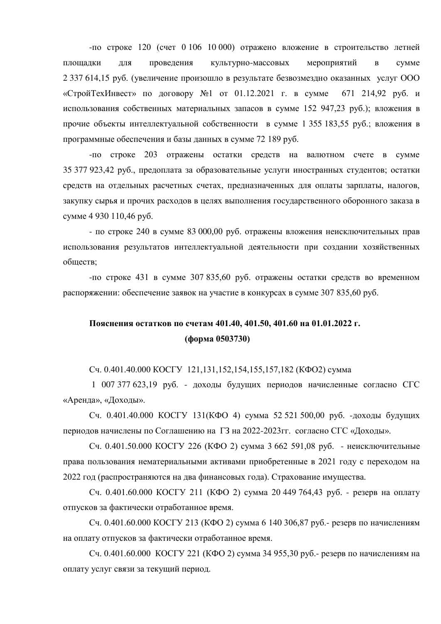-по строке 120 (счет 0 106 10 000) отражено вложение в строительство летней площадки для проведения культурно-массовых мероприятий в сумме  $2337614,15$  руб. (увеличение произошло в результате безвозмездно оказанных услуг ООО «Строй ТехИнвест» по договору №1 от 01.12.2021 г. в сумме 671 214,92 руб. и использования собственных материальных запасов в сумме 152 947,23 руб.); вложения в прочие объекты интеллектуальной собственности в сумме 1 355 183,55 руб.; вложения в программные обеспечения и базы данных в сумме 72 189 руб.

-по строке 203 отражены остатки средств на валютном счете в сумме 35 377 923,42 руб., предоплата за образовательные услуги иностранных студентов; остатки средств на отдельных расчетных счетах, предназначенных для оплаты зарплаты, налогов, закупку сырья и прочих расходов в целях выполнения государственного оборонного заказа в сумме 4 930 110,46 руб.

- по строке 240 в сумме 83 000,00 руб. отражены вложения неисключительных прав использования результатов интеллектуальной деятельности при создании хозяйственных обществ;

-по строке 431 в сумме 307 835,60 руб. отражены остатки средств во временном распоряжении: обеспечение заявок на участие в конкурсах в сумме 307 835,60 руб.

# Пояснения остатков по счетам 401.40, 401.50, 401.60 на 01.01.2022 г. **(форма 0503730)**

Сч. 0.401.40.000 КОСГУ 121,131,152,154,155,157,182 (КФО2) сумма

1 007 377 623,19 руб. - доходы будущих периодов начисленные согласно СГС «Аренда», «Доходы».

Сч. 0.401.40.000 КОСГУ 131(КФО 4) сумма 52 521 500,00 руб. -доходы будущих периодов начислены по Соглашению на  $\Gamma$ 3 на 2022-2023гг. согласно СГС «Доходы».

Сч. 0.401.50.000 КОСГУ 226 (КФО 2) сумма 3 662 591,08 руб. - неисключительные права пользования нематериальными активами приобретенные в 2021 году с переходом на 2022 год (распространяются на два финансовых года). Страхование имущества.

Сч. 0.401.60.000 КОСГУ 211 (КФО 2) сумма 20 449 764.43 руб. - резерв на оплату отпусков за фактически отработанное время.

Сч. 0.401.60.000 КОСГУ 213 (КФО 2) сумма 6 140 306.87 руб.- резерв по начислениям на оплату отпусков за фактически отработанное время.

Сч. 0.401.60.000 КОСГУ 221 (КФО 2) сумма 34 955,30 руб.- резерв по начислениям на оплату услуг связи за текущий период.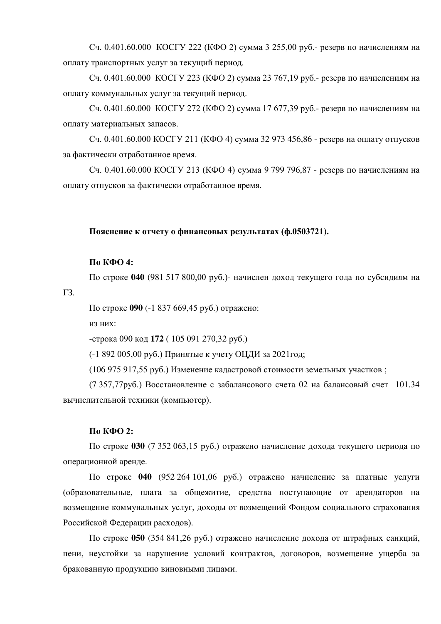Сч. 0.401.60.000 КОСГУ 222 (КФО 2) сумма 3 255,00 руб.- резерв по начислениям на оплату транспортных услуг за текущий период.

Сч. 0.401.60.000 КОСГУ 223 (КФО 2) сумма 23 767.19 руб.- резерв по начислениям на оплату коммунальных услуг за текущий период.

Сч. 0.401.60.000 КОСГУ 272 (КФО 2) сумма 17 677,39 руб.- резерв по начислениям на оплату материальных запасов.

Сч. 0.401.60.000 КОСГУ 211 (КФО 4) сумма 32 973 456,86 - резерв на оплату отпусков за фактически отработанное время.

Сч. 0.401.60.000 КОСГУ 213 (КФО 4) сумма 9 799 796,87 - резерв по начислениям на оплату отпусков за фактически отработанное время.

## Пояснение к отчету о финансовых результатах (ф.0503721).

### **По КФО 4:**

По строке 040 (981 517 800,00 руб.)- начислен доход текущего года по субсидиям на

ГЗ.

По строке 090 (-1 837 669,45 руб.) отражено:

ИЗ НИХ:

-строка 090 код 172 (105 091 270,32 руб.)

(-1 892 005,00 руб.) Принятые к учету ОЦДИ за 2021 год;

 $(106975917.55 \text{ pvo}$ .) Изменение кадастровой стоимости земельных участков;

(7 357,77руб.) Восстановление с забалансового счета 02 на балансовый счет 101.34 вычислительной техники (компьютер).

#### **По КФО 2:**

По строке 030 (7 352 063,15 руб.) отражено начисление дохода текущего периода по операционной аренде.

По строке 040 (952 264 101,06 руб.) отражено начисление за платные услуги (образовательные, плата за общежитие, средства поступающие от арендаторов на возмещение коммунальных услуг, доходы от возмещений Фондом социального страхования Российской Федерации расходов).

По строке 050 (354 841,26 руб.) отражено начисление дохода от штрафных санкций, пени, неустойки за нарушение условий контрактов, договоров, возмещение ущерба за бракованную продукцию виновными лицами.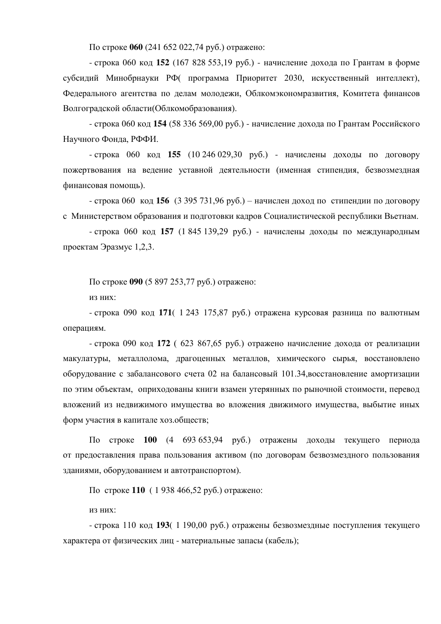По строке 060 (241 652 022,74 руб.) отражено:

- строка 060 код 152 (167 828 553,19 руб.) - начисление дохода по Грантам в форме субсидий Минобрнауки РФ программа Приоритет 2030, искусственный интеллект), Федерального агентства по делам молодежи, Облкомэкономразвития, Комитета финансов Волгоградской области(Облкомобразования).

- строка 060 код 154 (58 336 569,00 руб.) - начисление дохода по Грантам Российского Научного Фонда, РФФИ.

- строка 060 код 155 (10 246 029,30 руб.) - начислены доходы по договору пожертвования на ведение уставной деятельности (именная стипендия, безвозмездная финансовая помощь).

- строка 060 код 156 (3 395 731,96 руб.) – начислен доход по стипендии по договору с Министерством образования и подготовки кадров Социалистической республики Вьетнам.

- строка 060 код 157 (1 845 139,29 руб.) - начислены доходы по международным проектам Эразмус 1,2,3.

По строке 090 (5 897 253,77 руб.) отражено:

ИЗ НИХ:

- строка 090 код 171( 1 243 175,87 руб.) отражена курсовая разница по валютным операциям.

- строка 090 код 172 ( 623 867,65 руб.) отражено начисление дохода от реализации макулатуры, металлолома, драгоценных металлов, химического сырья, восстановлено оборудование с забалансового счета 02 на балансовый 101.34, восстановление амортизации по этим объектам, оприходованы книги взамен утерянных по рыночной стоимости, перевод вложений из недвижимого имущества во вложения движимого имущества, выбытие иных форм участия в капитале хоз.обществ;

По строке 100 (4 693 653,94 руб.) отражены доходы текущего периода от предоставления права пользования активом (по договорам безвозмездного пользования зданиями, оборудованием и автотранспортом).

По строке 110 (1938 466,52 руб.) отражено:

ИЗ НИХ:

- строка 110 код 193( 1 190,00 руб.) отражены безвозмездные поступления текущего характера от физических лиц - материальные запасы (кабель);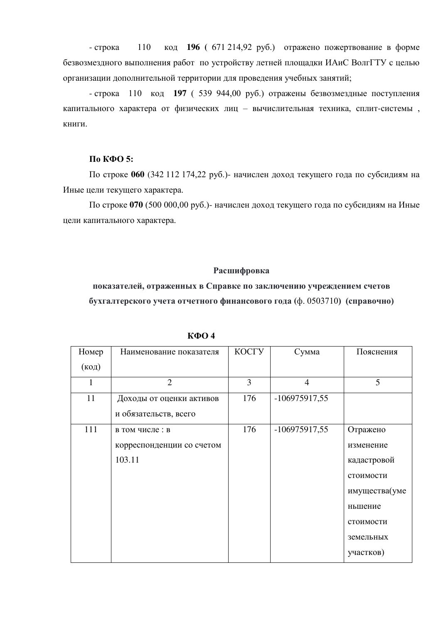- строка 110 код 196 (671 214,92 руб.) отражено пожертвование в форме безвозмездного выполнения работ по устройству летней площадки ИАиС ВолгГТУ с целью организации дополнительной территории для проведения учебных занятий;

- строка 110 код 197 ( 539 944,00 руб.) отражены безвозмездные поступления капитального характера от физических лиц - вычислительная техника, сплит-системы, книги.

# **По КФО 5:**

По строке 060 (342 112 174,22 руб.)- начислен доход текущего года по субсидиям на Иные цели текущего характера.

По строке 070 (500 000,00 руб.)- начислен доход текущего года по субсидиям на Иные цели капитального характера.

## Расшифровка

показателей, отраженных в Справке по заключению учреждением счетов **бухгалтерского учета отчетного финансового года** (ф. 0503710) (справочно)

| Номер          | Наименование показателя   | КОСГУ | Сумма          | Пояснения     |
|----------------|---------------------------|-------|----------------|---------------|
| $(\text{код})$ |                           |       |                |               |
| 1              | $\overline{2}$            | 3     | $\overline{4}$ | 5             |
| 11             | Доходы от оценки активов  | 176   | -106975917,55  |               |
|                | и обязательств, всего     |       |                |               |
| 111            | в том числе: в            | 176   | -106975917,55  | Отражено      |
|                | корреспонденции со счетом |       |                | изменение     |
|                | 103.11                    |       |                | кадастровой   |
|                |                           |       |                | стоимости     |
|                |                           |       |                | имущества(уме |
|                |                           |       |                | ньшение       |
|                |                           |       |                | стоимости     |
|                |                           |       |                | земельных     |
|                |                           |       |                | участков)     |

**КФО4**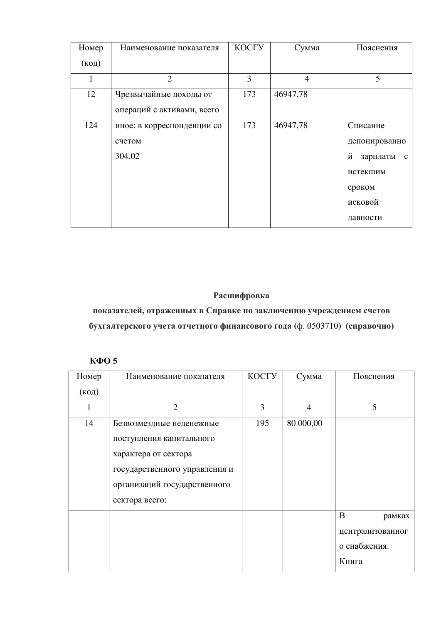| Номер          | Наименование показателя    | КОСГУ | Сумма          | Пояснения                     |
|----------------|----------------------------|-------|----------------|-------------------------------|
| $(\text{код})$ |                            |       |                |                               |
|                | $\overline{2}$             | 3     | $\overline{4}$ | 5                             |
| 12             | Чрезвычайные доходы от     | 173   | 46947,78       |                               |
|                | операций с активами, всего |       |                |                               |
| 124            | иное: в корреспонденции со | 173   | 46947,78       | Списание                      |
|                | счетом                     |       |                | депонированно                 |
|                | 304.02                     |       |                | й<br>зарплаты<br>$\mathbf{c}$ |
|                |                            |       |                | истекшим                      |
|                |                            |       |                | сроком                        |
|                |                            |       |                | исковой                       |
|                |                            |       |                | давности                      |

# Расшифровка

показателей, отраженных в Справке по заключению учреждением счетов **бухгалтерского учета отчетного финансового года** (ф. 0503710) (справочно)

# КФО 5

| Номер          | Наименование показателя       | КОСГУ | Сумма          | Пояснения        |
|----------------|-------------------------------|-------|----------------|------------------|
| $(\text{код})$ |                               |       |                |                  |
|                | $\overline{2}$                | 3     | $\overline{4}$ | 5                |
| 14             | Безвозмездные неденежные      | 195   | 80 000,00      |                  |
|                | поступления капитального      |       |                |                  |
|                | характера от сектора          |       |                |                  |
|                | государственного управления и |       |                |                  |
|                | организаций государственного  |       |                |                  |
|                | сектора всего:                |       |                |                  |
|                |                               |       |                | B<br>рамках      |
|                |                               |       |                | централизованног |
|                |                               |       |                | о снабжения.     |
|                |                               |       |                | Книга            |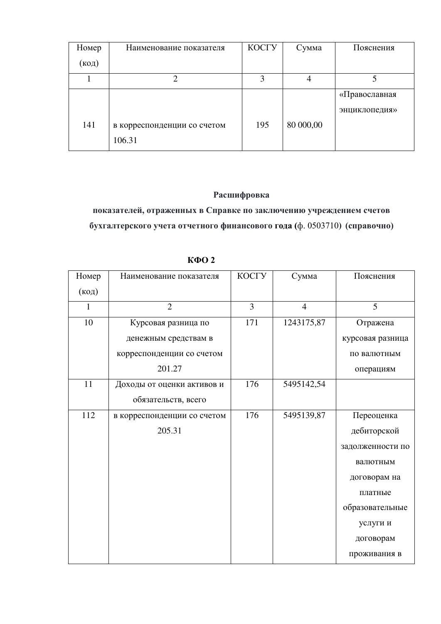| Номер | Наименование показателя     | КОСГУ | Сумма     | Пояснения     |
|-------|-----------------------------|-------|-----------|---------------|
| (код) |                             |       |           |               |
|       |                             | 3     | 4         |               |
|       |                             |       |           | «Православная |
|       |                             |       |           | энциклопедия» |
| 141   | в корреспонденции со счетом | 195   | 80 000,00 |               |
|       | 106.31                      |       |           |               |

# Расшифровка

показателей, отраженных в Справке по заключению учреждением счетов **бухгалтерского учета отчетного финансового года** (ф. 0503710) (справочно)

| Номер | Наименование показателя     | КОСГУ | Сумма          | Пояснения        |
|-------|-----------------------------|-------|----------------|------------------|
| (код) |                             |       |                |                  |
| 1     | $\overline{2}$              | 3     | $\overline{4}$ | 5                |
| 10    | Курсовая разница по         | 171   | 1243175,87     | Отражена         |
|       | денежным средствам в        |       |                | курсовая разница |
|       | корреспонденции со счетом   |       |                | по валютным      |
|       | 201.27                      |       |                | операциям        |
| 11    | Доходы от оценки активов и  | 176   | 5495142,54     |                  |
|       | обязательств, всего         |       |                |                  |
| 112   | в корреспонденции со счетом | 176   | 5495139,87     | Переоценка       |
|       | 205.31                      |       |                | дебиторской      |
|       |                             |       |                | задолженности по |
|       |                             |       |                | валютным         |
|       |                             |       |                | договорам на     |
|       |                             |       |                | платные          |
|       |                             |       |                | образовательные  |
|       |                             |       |                | услуги и         |
|       |                             |       |                | договорам        |
|       |                             |       |                | проживания в     |

 $K$ ФО 2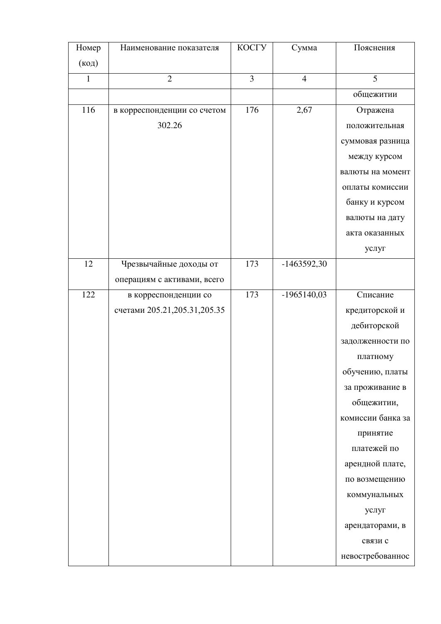| Номер          | Наименование показателя      | КОСГУ          | Сумма          | Пояснения         |
|----------------|------------------------------|----------------|----------------|-------------------|
| $(\text{код})$ |                              |                |                |                   |
| $\mathbf{1}$   | $\overline{2}$               | $\overline{3}$ | $\overline{4}$ | 5                 |
|                |                              |                |                | общежитии         |
| 116            | в корреспонденции со счетом  | 176            | 2,67           | Отражена          |
|                | 302.26                       |                |                | положительная     |
|                |                              |                |                | суммовая разница  |
|                |                              |                |                | между курсом      |
|                |                              |                |                | валюты на момент  |
|                |                              |                |                | оплаты комиссии   |
|                |                              |                |                | банку и курсом    |
|                |                              |                |                | валюты на дату    |
|                |                              |                |                | акта оказанных    |
|                |                              |                |                | услуг             |
| 12             | Чрезвычайные доходы от       | 173            | $-1463592,30$  |                   |
|                | операциям с активами, всего  |                |                |                   |
| 122            | в корреспонденции со         | 173            | $-1965140,03$  | Списание          |
|                | счетами 205.21,205.31,205.35 |                |                | кредиторской и    |
|                |                              |                |                | дебиторской       |
|                |                              |                |                | задолженности по  |
|                |                              |                |                | платному          |
|                |                              |                |                | обучению, платы   |
|                |                              |                |                | за проживание в   |
|                |                              |                |                | общежитии,        |
|                |                              |                |                | комиссии банка за |
|                |                              |                |                | принятие          |
|                |                              |                |                | платежей по       |
|                |                              |                |                | арендной плате,   |
|                |                              |                |                | по возмещению     |
|                |                              |                |                | коммунальных      |
|                |                              |                |                | услуг             |
|                |                              |                |                | арендаторами, в   |
|                |                              |                |                | связи с           |
|                |                              |                |                | невостребованнос  |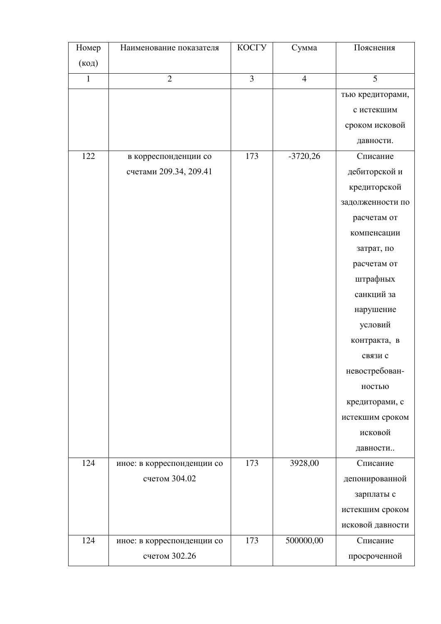| Номер          | Наименование показателя    | КОСГУ          | Сумма          | Пояснения        |
|----------------|----------------------------|----------------|----------------|------------------|
| $(\text{код})$ |                            |                |                |                  |
| $\mathbf{1}$   | $\overline{2}$             | $\overline{3}$ | $\overline{4}$ | 5                |
|                |                            |                |                | тью кредиторами, |
|                |                            |                |                | с истекшим       |
|                |                            |                |                | сроком исковой   |
|                |                            |                |                | давности.        |
| 122            | в корреспонденции со       | 173            | $-3720,26$     | Списание         |
|                | счетами 209.34, 209.41     |                |                | дебиторской и    |
|                |                            |                |                | кредиторской     |
|                |                            |                |                | задолженности по |
|                |                            |                |                | расчетам от      |
|                |                            |                |                | компенсации      |
|                |                            |                |                | затрат, по       |
|                |                            |                |                | расчетам от      |
|                |                            |                |                | штрафных         |
|                |                            |                |                | санкций за       |
|                |                            |                |                | нарушение        |
|                |                            |                |                | условий          |
|                |                            |                |                | контракта, в     |
|                |                            |                |                | связи с          |
|                |                            |                |                | невостребован-   |
|                |                            |                |                | ностью           |
|                |                            |                |                | кредиторами, с   |
|                |                            |                |                | истекшим сроком  |
|                |                            |                |                | исковой          |
|                |                            |                |                | давности         |
| 124            | иное: в корреспонденции со | 173            | 3928,00        | Списание         |
|                | счетом 304.02              |                |                | депонированной   |
|                |                            |                |                | зарплаты с       |
|                |                            |                |                | истекшим сроком  |
|                |                            |                |                | исковой давности |
| 124            | иное: в корреспонденции со | 173            | 500000,00      | Списание         |
|                | счетом 302.26              |                |                | просроченной     |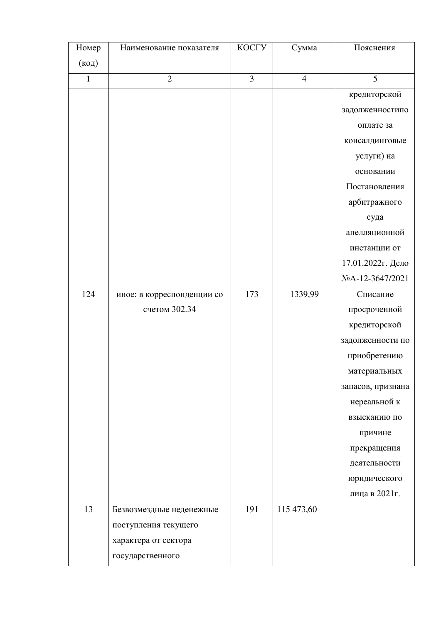| Номер          | Наименование показателя    | КОСГУ          | Сумма          | Пояснения         |
|----------------|----------------------------|----------------|----------------|-------------------|
| $(\text{код})$ |                            |                |                |                   |
| $\mathbf{1}$   | $\overline{2}$             | $\overline{3}$ | $\overline{4}$ | 5                 |
|                |                            |                |                | кредиторской      |
|                |                            |                |                | задолженностипо   |
|                |                            |                |                | оплате за         |
|                |                            |                |                | консалдинговые    |
|                |                            |                |                | услуги) на        |
|                |                            |                |                | основании         |
|                |                            |                |                | Постановления     |
|                |                            |                |                | арбитражного      |
|                |                            |                |                | суда              |
|                |                            |                |                | апелляционной     |
|                |                            |                |                | инстанции от      |
|                |                            |                |                | 17.01.2022г. Дело |
|                |                            |                |                | NoA-12-3647/2021  |
| 124            | иное: в корреспонденции со | 173            | 1339,99        | Списание          |
|                | счетом 302.34              |                |                | просроченной      |
|                |                            |                |                | кредиторской      |
|                |                            |                |                | задолженности по  |
|                |                            |                |                | приобретению      |
|                |                            |                |                | материальных      |
|                |                            |                |                | запасов, признана |
|                |                            |                |                | нереальной к      |
|                |                            |                |                | взысканию по      |
|                |                            |                |                | причине           |
|                |                            |                |                | прекращения       |
|                |                            |                |                | деятельности      |
|                |                            |                |                | юридического      |
|                |                            |                |                | лица в 2021 г.    |
| 13             | Безвозмездные неденежные   | 191            | 115 473,60     |                   |
|                | поступления текущего       |                |                |                   |
|                | характера от сектора       |                |                |                   |
|                | государственного           |                |                |                   |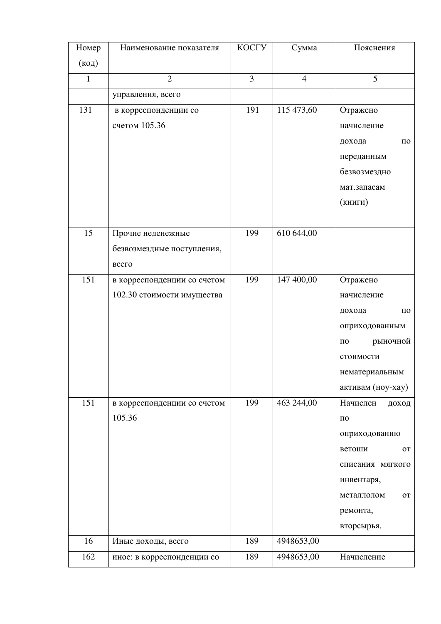| Номер          | Наименование показателя               | КОСГУ          | Сумма          | Пояснения              |
|----------------|---------------------------------------|----------------|----------------|------------------------|
| $(\text{код})$ |                                       |                |                |                        |
| $\mathbf{1}$   | $\overline{2}$                        | $\overline{3}$ | $\overline{4}$ | 5                      |
|                | управления, всего                     |                |                |                        |
| 131            | в корреспонденции со<br>счетом 105.36 | 191            | 115 473,60     | Отражено<br>начисление |
|                |                                       |                |                | дохода<br>ПО           |
|                |                                       |                |                | переданным             |
|                |                                       |                |                | безвозмездно           |
|                |                                       |                |                | мат.запасам            |
|                |                                       |                |                | (книги)                |
|                |                                       |                |                |                        |
| 15             | Прочие неденежные                     | 199            | 610 644,00     |                        |
|                | безвозмездные поступления,            |                |                |                        |
|                | всего                                 |                |                |                        |
| 151            | в корреспонденции со счетом           | 199            | 147 400,00     | Отражено               |
|                | 102.30 стоимости имущества            |                |                | начисление             |
|                |                                       |                |                | дохода<br>$\Pi$ O      |
|                |                                       |                |                | оприходованным         |
|                |                                       |                |                | рыночной<br>$\Pi 0$    |
|                |                                       |                |                | стоимости              |
|                |                                       |                |                | нематериальным         |
|                |                                       |                |                | активам (ноу-хау)      |
| 151            | в корреспонденции со счетом           | 199            | 463 244,00     | Начислен<br>доход      |
|                | 105.36                                |                |                | $\Pi 0$                |
|                |                                       |                |                | оприходованию          |
|                |                                       |                |                | ветоши<br><b>OT</b>    |
|                |                                       |                |                | списания мягкого       |
|                |                                       |                |                | инвентаря,             |
|                |                                       |                |                | металлолом<br>OT       |
|                |                                       |                |                | ремонта,               |
|                |                                       |                |                | вторсырья.             |
| 16             | Иные доходы, всего                    | 189            | 4948653,00     |                        |
| 162            | иное: в корреспонденции со            | 189            | 4948653,00     | Начисление             |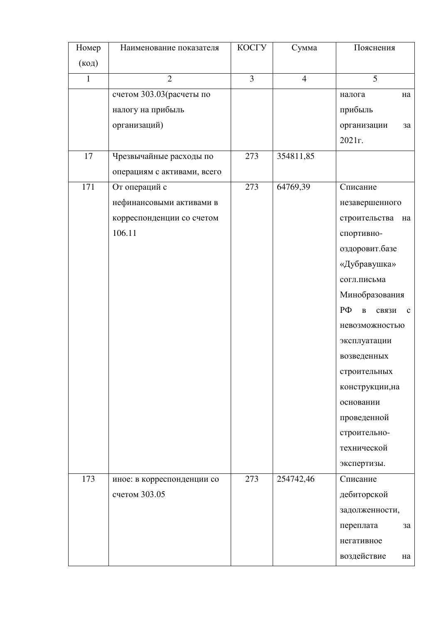| Номер          | Наименование показателя     | КОСГУ          | Сумма          | Пояснения                                        |
|----------------|-----------------------------|----------------|----------------|--------------------------------------------------|
| $(\text{код})$ |                             |                |                |                                                  |
| $\mathbf{1}$   | $\overline{2}$              | $\overline{3}$ | $\overline{4}$ | 5                                                |
|                | счетом 303.03 (расчеты по   |                |                | налога<br>на                                     |
|                | налогу на прибыль           |                |                | прибыль                                          |
|                | организаций)                |                |                | организации<br>3a                                |
|                |                             |                |                | 2021г.                                           |
| 17             | Чрезвычайные расходы по     | 273            | 354811,85      |                                                  |
|                | операциям с активами, всего |                |                |                                                  |
| 171            | От операций с               | 273            | 64769,39       | Списание                                         |
|                | нефинансовыми активами в    |                |                | незавершенного                                   |
|                | корреспонденции со счетом   |                |                | строительства<br>на                              |
|                | 106.11                      |                |                | спортивно-                                       |
|                |                             |                |                | оздоровит.базе                                   |
|                |                             |                |                | «Дубравушка»                                     |
|                |                             |                |                | согл.письма                                      |
|                |                             |                |                | Минобразования                                   |
|                |                             |                |                | $P\Phi$<br>$\, {\bf B}$<br>связи<br>$\mathbf{c}$ |
|                |                             |                |                | невозможностью                                   |
|                |                             |                |                | эксплуатации                                     |
|                |                             |                |                | возведенных                                      |
|                |                             |                |                | строительных                                     |
|                |                             |                |                | конструкции, на                                  |
|                |                             |                |                | основании                                        |
|                |                             |                |                | проведенной                                      |
|                |                             |                |                | строительно-                                     |
|                |                             |                |                | технической                                      |
|                |                             |                |                | экспертизы.                                      |
| 173            | иное: в корреспонденции со  | 273            | 254742,46      | Списание                                         |
|                | счетом 303.05               |                |                | дебиторской                                      |
|                |                             |                |                | задолженности,                                   |
|                |                             |                |                | переплата<br>3a                                  |
|                |                             |                |                | негативное                                       |
|                |                             |                |                | воздействие<br>на                                |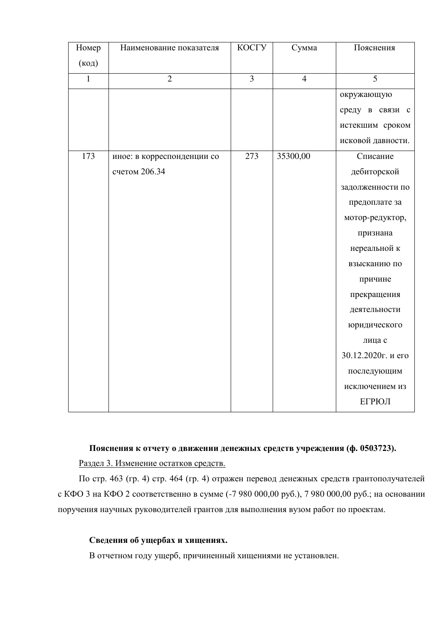| Номер          | Наименование показателя    | КОСГУ          | Сумма          | Пояснения          |
|----------------|----------------------------|----------------|----------------|--------------------|
| $(\text{код})$ |                            |                |                |                    |
| $\mathbf{1}$   | $\overline{2}$             | $\overline{3}$ | $\overline{4}$ | 5                  |
|                |                            |                |                | окружающую         |
|                |                            |                |                | среду в связи с    |
|                |                            |                |                | истекшим сроком    |
|                |                            |                |                | исковой давности.  |
| 173            | иное: в корреспонденции со | 273            | 35300,00       | Списание           |
|                | счетом 206.34              |                |                | дебиторской        |
|                |                            |                |                | задолженности по   |
|                |                            |                |                | предоплате за      |
|                |                            |                |                | мотор-редуктор,    |
|                |                            |                |                | признана           |
|                |                            |                |                | нереальной к       |
|                |                            |                |                | взысканию по       |
|                |                            |                |                | причине            |
|                |                            |                |                | прекращения        |
|                |                            |                |                | деятельности       |
|                |                            |                |                | юридического       |
|                |                            |                |                | лица с             |
|                |                            |                |                | 30.12.2020г. и его |
|                |                            |                |                | последующим        |
|                |                            |                |                | исключением из     |
|                |                            |                |                | ЕГРЮЛ              |

# Пояснения к отчету о движении денежных средств учреждения (ф. 0503723).

Раздел 3. Изменение остатков средств.

По стр. 463 (гр. 4) стр. 464 (гр. 4) отражен перевод денежных средств грантополучателей с КФО 3 на КФО 2 соответственно в сумме (-7 980 000,00 руб.), 7 980 000,00 руб.; на основании поручения научных руководителей грантов для выполнения вузом работ по проектам.

# Сведения об ущербах и хищениях.

В отчетном году ущерб, причиненный хищениями не установлен.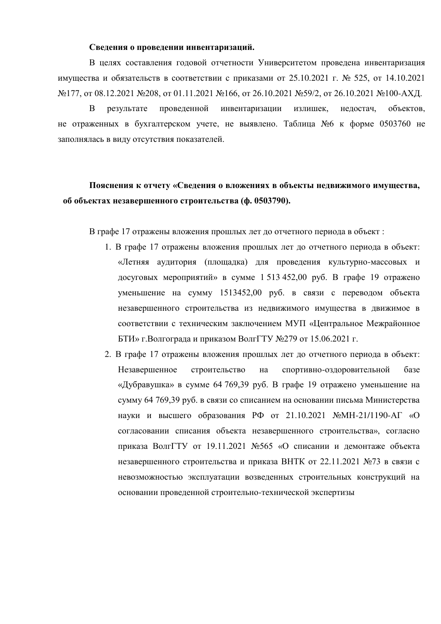### Свеления о провелении инвентаризаций.

В целях составления годовой отчетности Университетом проведена инвентаризация имущества и обязательств в соответствии с приказами от 25.10.2021 г. № 525, от 14.10.2021 №177, от 08.12.2021 №208, от 01.11.2021 №166, от 26.10.2021 №59/2, от 26.10.2021 №100-АХД.

В результате проведенной инвентаризации излишек, недостач, объектов, не отраженных в бухгалтерском учете, не выявлено. Таблица №6 к форме 0503760 не заполнялась в виду отсутствия показателей.

# Пояснения к отчету «Сведения о вложениях в объекты недвижимого имущества, об объектах незавершенного строительства (ф. 0503790).

В графе 17 отражены вложения прошлых лет до отчетного периода в объект:

- 1. В графе 17 отражены вложения прошлых лет до отчетного периода в объект: «Летняя аудитория (площадка) для проведения культурно-массовых и досуговых мероприятий» в сумме  $1513\,452,00$  руб. В графе 19 отражено уменьшение на сумму 1513452,00 руб. в связи с переводом объекта незавершенного строительства из недвижимого имущества в движимое в соответствии с техническим заключением МУП «Центральное Межрайонное  $\overline{b}$ ТИ» г. Волгограда и приказом Волг $\Gamma$ ТУ №279 от 15.06.2021 г.
- 2. В графе 17 отражены вложения прошлых лет до отчетного периода в объект: Незавершенное строительство на спортивно-оздоровительной базе «Дубравушка» в сумме 64 769,39 руб. В графе 19 отражено уменьшение на сумму 64 769,39 руб. в связи со списанием на основании письма Министерства науки и высшего образования РФ от 21.10.2021 №МН-21/1190-АГ «О согласовании списания объекта незавершенного строительства», согласно приказа ВолгГТУ от 19.11.2021 №565 «О списании и демонтаже объекта незавершенного строительства и приказа ВНТК от 22.11.2021 №73 в связи с невозможностью эксплуатации возведенных строительных конструкций на основании проведенной строительно-технической экспертизы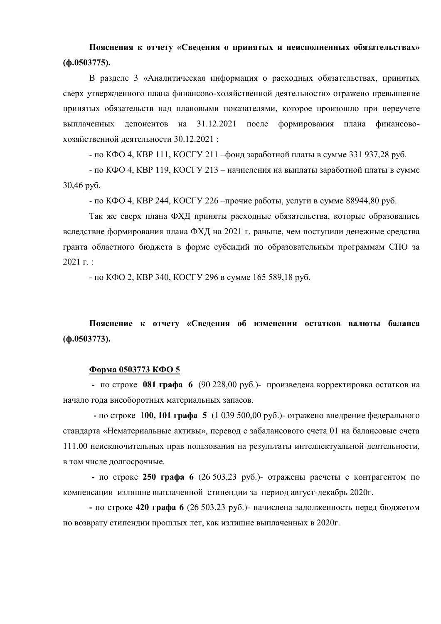Пояснения к отчету «Сведения о принятых и неисполненных обязательствах» **(ɮ.0503775).**

В разделе 3 «Аналитическая информация о расходных обязательствах, принятых сверх утвержденного плана финансово-хозяйственной деятельности» отражено превышение принятых обязательств над плановыми показателями, которое произошло при переучете выплаченных депонентов на 31.12.2021 после формирования плана финансовохозяйственной деятельности 30.12.2021 :

- по КФО 4, КВР 111, КОСГУ 211 –фонд заработной платы в сумме 331 937,28 руб.

- по  $K\Phi$ О 4,  $KBP$  119,  $KOCTY$  213 – начисления на выплаты заработной платы в сумме  $30,46$  pv $6$ .

- по КФО 4, КВР 244, КОСГУ 226 – прочие работы, услуги в сумме 88944,80 руб.

Так же сверх плана ФХД приняты расходные обязательства, которые образовались вследствие формирования плана ФХД на 2021 г. раньше, чем поступили денежные средства гранта областного бюджета в форме субсидий по образовательным программам СПО за  $2021 \text{ T}$ .:

- по КФО 2, КВР 340, КОСГУ 296 в сумме 165 589,18 руб.

Пояснение к отчету «Сведения об изменении остатков валюты баланса (ф.0503773).

#### Форма 0503773 КФО 5

**• по строке 081 графа 6 (90 228,00 руб.)- произведена корректировка остатков на** начало года внеоборотных материальных запасов.

**-** по строке 100, 101 графа 5 (1 039 500,00 руб.)- отражено внедрение федерального стандарта «Нематериальные активы», перевод с забалансового счета 01 на балансовые счета 111.00 неисключительных прав пользования на результаты интеллектуальной деятельности, в том числе долгосрочные.

**-** по строке 250 графа 6 (26 503,23 руб.)- отражены расчеты с контрагентом по компенсации излишне выплаченной стипендии за период август-декабрь 2020г.

**-** по строке 420 графа 6 (26 503,23 руб.)- начислена задолженность перед бюджетом по возврату стипендии прошлых лет, как излишне выплаченных в 2020г.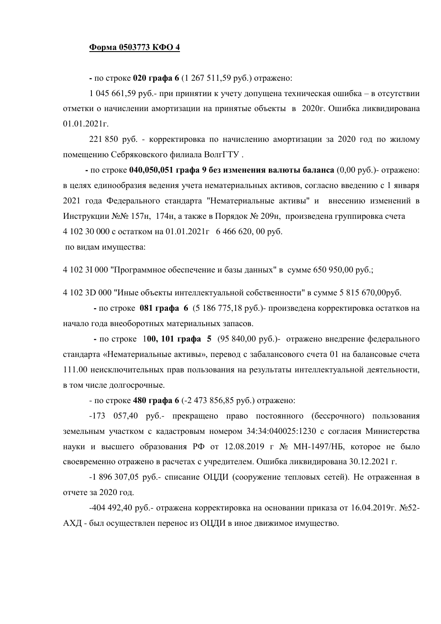## Форма 0503773 КФО 4

**-** по строке 020 графа 6 (1 267 511,59 руб.) отражено:

1 045 661,59 руб.- при принятии к учету допущена техническая ошибка – в отсутствии отметки о начислении амортизации на принятые объекты в 2020г. Ошибка ликвидирована  $01.01.2021<sub>Y</sub>$ 

 $221850$  руб. - корректировка по начислению амортизации за 2020 год по жилому помещению Себряковского филиала ВолгГТУ.

**• по строке 040,050,051 графа 9 без изменения валюты баланса** (0,00 руб.)- отражено: в целях единообразия ведения учета нематериальных активов, согласно введению с 1 января 2021 года Федерального стандарта "Нематериальные активы" и внесению изменений в Инструкции №№ 157н, 174н, а также в Порядок № 209н, произведена группировка счета 4 102 30 000 c остатком на 01.01.2021 $\Gamma$  6 466 620, 00 руб.

по видам имущества:

4 102 3I 000 "Программное обеспечение и базы данных" в сумме 650 950,00 руб.;

4 102 3D 000 "Иные объекты интеллектуальной собственности" в сумме 5 815 670,00руб.

**-** по строке 081 графа 6 (5 186 775,18 руб.)- произведена корректировка остатков на начало года внеоборотных материальных запасов.

**-** по строке 100, 101 графа 5 (95 840,00 руб.)- отражено внедрение федерального стандарта «Нематериальные активы», перевод с забалансового счета 01 на балансовые счета 111.00 неисключительных прав пользования на результаты интеллектуальной деятельности. в том числе долгосрочные.

- по строке **480 графа 6** (-2 473 856,85 руб.) отражено:

-173 057,40 руб.- прекращено право постоянного (бессрочного) пользования земельным участком с кадастровым номером 34:34:040025:1230 с согласия Министерства науки и высшего образования РФ от 12.08.2019 г № МН-1497/НБ, которое не было своевременно отражено в расчетах с учредителем. Ошибка ликвидирована 30.12.2021 г.

-1 896 307,05 руб.- списание ОЦДИ (сооружение тепловых сетей). Не отраженная в отчете за 2020 год.

 $-404$  492,40 pyб.- отражена корректировка на основании приказа от 16.04.2019г. №52-АХД - был осуществлен перенос из ОЦДИ в иное движимое имущество.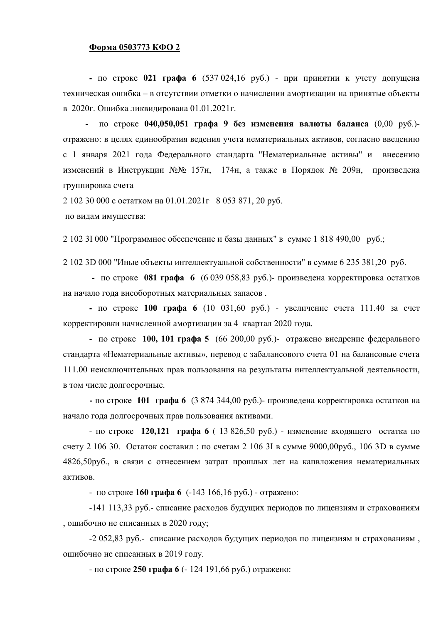#### $\Phi$ орма 0503773 КФО 2

 $\blacksquare$  **1 0 021 <b>rpada 6** (537 024,16 py<sub>0</sub>.) - при принятии к учету допущена техническая ошибка – в отсутствии отметки о начислении амортизации на принятые объекты в 2020г. Ошибка ликвидирована 01.01.2021г.

**-** по строке 040,050,051 графа 9 без изменения валюты баланса (0,00 руб.)отражено: в целях единообразия ведения учета нематериальных активов, согласно введению с 1 января 2021 года Федерального стандарта "Нематериальные активы" и внесению изменений в Инструкции №№ 157н, 174н, а также в Порядок № 209н, произведена группировка счета

 $2 102 30 000$  c остатком на  $01.01.2021$ г 8 053 871, 20 руб.

по видам имущества:

2 102 3I 000 "Программное обеспечение и базы данных" в сумме 1 818 490,00 руб.;

 $21023D000$  "Иные объекты интеллектуальной собственности" в сумме 6 235 381,20 руб.

**-** по строке 081 графа 6 (6 039 058,83 руб.)- произведена корректировка остатков на начало года внеоборотных материальных запасов.

**-** по строке 100 графа 6 (10 031,60 руб.) - увеличение счета 111.40 за счет корректировки начисленной амортизации за 4 квартал 2020 года.

**-** по строке **100, 101 графа 5** (66 200,00 руб.)- отражено внедрение федерального стандарта «Нематериальные активы», перевод с забалансового счета 01 на балансовые счета 111.00 неисключительных прав пользования на результаты интеллектуальной деятельности. в том числе долгосрочные.

**-** по строке 101 графа 6 (3 874 344,00 руб.)- произведена корректировка остатков на начало года долгосрочных прав пользования активами.

- по строке 120,121 графа 6 ( 13 826,50 руб.) - изменение входящего остатка по счету 2 106 30. Остаток составил: по счетам 2 106 3I в сумме 9000,00руб., 106 3D в сумме 4826,50руб., в связи с отнесением затрат прошлых лет на капвложения нематериальных **akturor** 

- по строке **160 графа 6** (-143 166,16 руб.) - отражено:

 $-141$  113,33 руб.- списание расходов будущих периодов по лицензиям и страхованиям , ошибочно не списанных в 2020 году;

-2 052,83 руб.- списание расходов будущих периодов по лицензиям и страхованиям, ошибочно не списанных в 2019 году.

- по строке 250 графа 6 (- 124 191,66 руб.) отражено: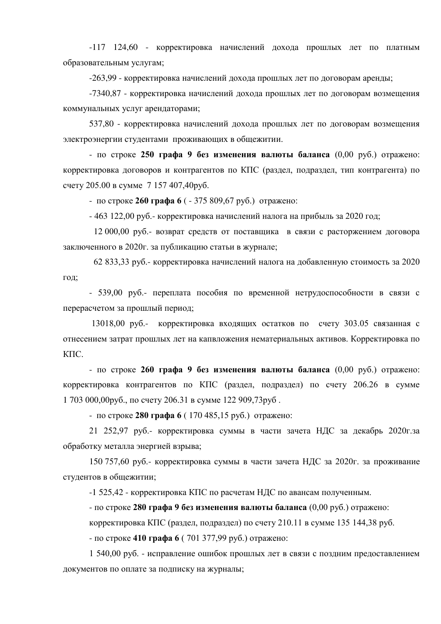-117 124,60 - корректировка начислений дохода прошлых лет по платным образовательным услугам;

 $-263.99$  - корректировка начислений дохода прошлых лет по договорам аренды:

-7340,87 - корректировка начислений дохода прошлых лет по договорам возмещения коммунальных услуг арендаторами;

537,80 - корректировка начислений дохода прошлых лет по договорам возмещения электроэнергии студентами проживающих в общежитии.

- по строке 250 графа 9 без изменения валюты баланса (0,00 руб.) отражено: корректировка договоров и контрагентов по КПС (раздел, подраздел, тип контрагента) по счету 205.00 в сумме 7 157 407,40руб.

- по строке 260 графа 6 ( - 375 809,67 руб.) отражено:

 $-463$  122,00 руб.- корректировка начислений налога на прибыль за 2020 год;

 $12\,000,00$  руб.- возврат средств от поставщика в связи с расторжением договора заключенного в 2020г. за публикацию статьи в журнале;

62 833,33 руб.- корректировка начислений налога на добавленную стоимость за 2020 год;

- 539,00 руб.- переплата пособия по временной нетрудоспособности в связи с перерасчетом за прошлый период;

 $13018,00$  руб.- корректировка входящих остатков по счету 303.05 связанная с отнесением затрат прошлых лет на капвложения нематериальных активов. Корректировка по  $K\Pi C$ .

- по строке 260 графа 9 без изменения валюты баланса (0,00 руб.) отражено: корректировка контрагентов по КПС (раздел, подраздел) по счету 206.26 в сумме 1 703 000,00руб., по счету 206.31 в сумме 122 909,73руб.

- по строке 280 графа 6 (170 485,15 руб.) отражено:

21 252,97 руб.- корректировка суммы в части зачета НДС за декабрь 2020г. за обработку металла энергией взрыва;

150 757,60 руб.- корректировка суммы в части зачета НДС за 2020г. за проживание студентов в общежитии:

-1 525,42 - корректировка КПС по расчетам НДС по авансам полученным.

- по строке 280 графа 9 без изменения валюты баланса (0,00 руб.) отражено:

корректировка КПС (раздел, подраздел) по счету 210.11 в сумме 135 144,38 руб.

- по строке 410 графа 6 (701 377,99 руб.) отражено:

1 540,00 руб. - исправление ошибок прошлых лет в связи с поздним предоставлением документов по оплате за подписку на журналы;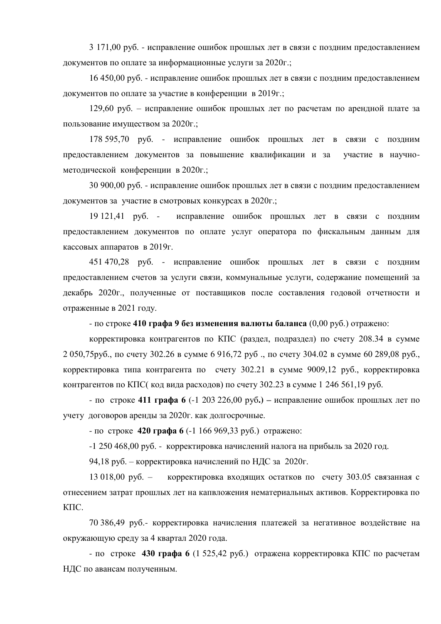3 171,00 руб. - исправление ошибок прошлых лет в связи с поздним предоставлением документов по оплате за информационные услуги за 2020г.;

16 450,00 руб. - исправление ошибок прошлых лет в связи с позлним предоставлением документов по оплате за участие в конференции в 2019г.;

129,60 руб. – исправление ошибок прошлых лет по расчетам по арендной плате за пользование имуществом за 2020г.;

178 595,70 руб. - исправление ошибок прошлых лет в связи с поздним предоставлением документов за повышение квалификации и за участие в научнометодической конференции в 2020г.;

30 900,00 руб. - исправление ошибок прошлых лет в связи с поздним предоставлением документов за участие в смотровых конкурсах в 2020г.;

19 121,41 руб. - исправление ошибок прошлых лет в связи с поздним предоставлением документов по оплате услуг оператора по фискальным данным для кассовых аппаратов в 2019г.

451 470,28 руб. - исправление ошибок прошлых лет в связи с поздним предоставлением счетов за услуги связи, коммунальные услуги, содержание помещений за декабрь 2020г., полученные от поставщиков после составления годовой отчетности и отраженные в 2021 году.

- по строке 410 графа 9 без изменения валюты баланса (0,00 руб.) отражено:

корректировка контрагентов по КПС (раздел, подраздел) по счету 208.34 в сумме 2 050,75руб., по счету 302.26 в сумме 6 916,72 руб., по счету 304.02 в сумме 60 289,08 руб., корректировка типа контрагента по счету  $302.21$  в сумме 9009,12 руб., корректировка контрагентов по КПС( код вида расходов) по счету 302.23 в сумме 1 246 561,19 руб.

- по строке 411 графа 6 (-1 203 226,00 руб.) – исправление ошибок прошлых лет по учету договоров аренды за 2020г. как долгосрочные.

- по строке 420 графа 6 (-1 166 969,33 руб.) отражено:

 $-1$  250 468,00 руб. - корректировка начислений налога на прибыль за 2020 год.

94,18 руб. – корректировка начислений по НДС за 2020г.

13 018,00 руб. – корректировка входящих остатков по счету 303.05 связанная с отнесением затрат прошлых лет на капвложения нематериальных активов. Корректировка по КПС.

70 386,49 руб.- корректировка начисления платежей за негативное воздействие на окружающую среду за 4 квартал 2020 года.

 $-$  по строке 430 графа 6 (1 525,42 руб.) отражена корректировка КПС по расчетам НДС по авансам полученным.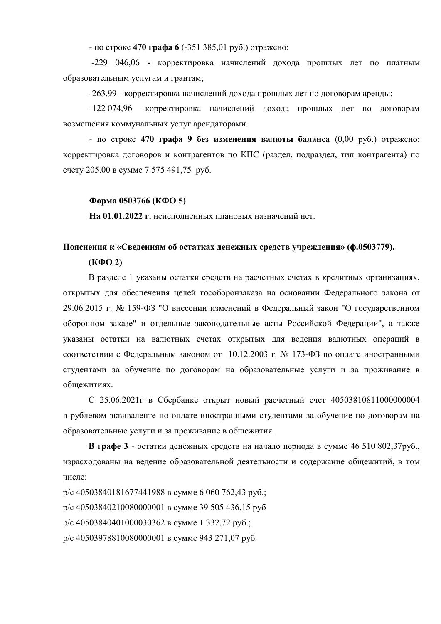- по строке **470 графа 6** (-351 385,01 руб.) отражено:

-229 046,06 - корректировка начислений дохода прошлых лет по платным образовательным услугам и грантам:

-263,99 - корректировка начислений дохода прошлых лет по договорам аренды;

-122 074,96 – корректировка начислений дохода прошлых лет по договорам возмещения коммунальных услуг арендаторами.

- по строке 470 графа 9 без изменения валюты баланса (0,00 руб.) отражено: корректировка договоров и контрагентов по КПС (раздел, подраздел, тип контрагента) по счету 205.00 в сумме 7 575 491,75 руб.

### $\Phi$ орма 0503766 (КФО 5)

На 01.01.2022 г. неисполненных плановых назначений нет.

# Пояснения к «Сведениям об остатках денежных средств учреждения» (ф.0503779).

### **(ɄɎɈ 2)**

В разделе 1 указаны остатки средств на расчетных счетах в кредитных организациях, открытых для обеспечения целей гособоронзаказа на основании Федерального закона от 29.06.2015 г. № 159-ФЗ "О внесении изменений в Федеральный закон "О государственном оборонном заказе" и отдельные законодательные акты Российской Федерации", а также указаны остатки на валютных счетах открытых для ведения валютных операций в соответствии с Федеральным законом от 10.12.2003 г. № 173-ФЗ по оплате иностранными студентами за обучение по договорам на образовательные услуги и за проживание в обшежитиях.

С 25.06.2021г в Сбербанке открыт новый расчетный счет 40503810811000000004 в рублевом эквиваленте по оплате иностранными студентами за обучение по договорам на образовательные услуги и за проживание в общежития.

**В графе 3** - остатки денежных средств на начало периода в сумме 46 510 802,37руб., израсходованы на ведение образовательной деятельности и содержание общежитий, в том числе:

 $p/c$  40503840181677441988 в сумме 6 060 762,43 руб.;  $p/c$  40503840210080000001 в сумме 39 505 436,15 руб  $p/c$  40503840401000030362 в сумме 1 332,72 руб.; р/с 40503978810080000001 в сумме 943 271,07 руб.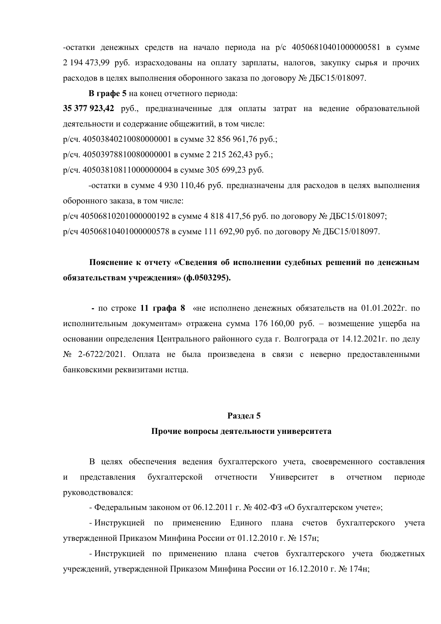$-$ остатки денежных средств на начало периода на р/с 40506810401000000581 в сумме  $2194473.99$  руб. израсходованы на оплату зарплаты, налогов, закупку сырья и прочих расходов в целях выполнения оборонного заказа по договору № ЛБС15/018097.

**В графе 5** на конец отчетного периода:

35 377 923,42 руб., предназначенные для оплаты затрат на ведение образовательной деятельности и содержание общежитий, в том числе:

р/сч. 40503840210080000001 в сумме 32 856 961,76 руб.;

р/сч. 40503978810080000001 в сумме 2 215 262,43 руб.;

р/сч. 40503810811000000004 в сумме 305 699,23 руб.

-остатки в сумме 4 930 110,46 руб. предназначены для расходов в целях выполнения оборонного заказа, в том числе:

 $p/cq$  40506810201000000192 в сумме 4 818 417,56 руб. по договору № ДБС15/018097;  $p/cq$  40506810401000000578 в сумме 111 692,90 руб. по договору № ДБС15/018097.

# Пояснение к отчету «Сведения об исполнении судебных решений по денежным **обязательствам учреждения» (ф.0503295).**

**• по строке 11 графа 8** «не исполнено денежных обязательств на 01.01.2022г. по исполнительным документам» отражена сумма 176 160,00 руб. – возмещение ущерба на основании определения Центрального районного суда г. Волгограда от 14.12.2021 г. по делу № 2-6722/2021. Оплата не была произведена в связи с неверно предоставленными банковскими реквизитами истца.

#### Разлел 5

#### Прочие вопросы деятельности университета

В целях обеспечения ведения бухгалтерского учета, своевременного составления и представления бухгалтерской отчетности Университет в отчетном периоде руководствовался:

- Федеральным законом от 06.12.2011 г. № 402-ФЗ «О бухгалтерском учете»;

- Инструкцией по применению Единого плана счетов бухгалтерского учета утвержденной Приказом Минфина России от 01.12.2010 г. № 157н;

- Инструкцией по применению плана счетов бухгалтерского учета бюджетных учреждений, утвержденной Приказом Минфина России от 16.12.2010 г. № 174н;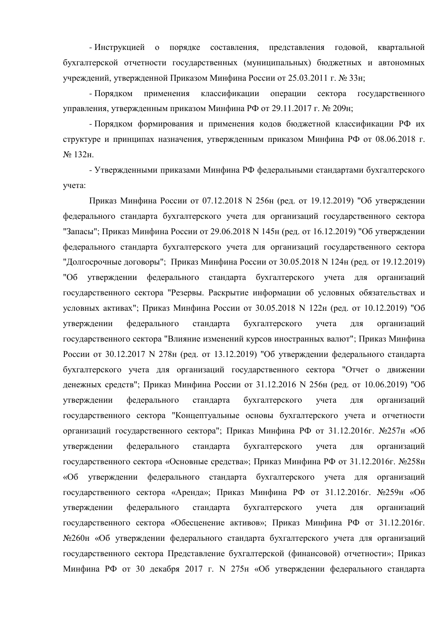- Инструкцией о порядке составления, представления годовой, квартальной бухгалтерской отчетности государственных (муниципальных) бюджетных и автономных ∨чреждений, утвержденной Приказом Минфина России от 25.03.2011 г. № 33н;

- Порядком применения классификации операции сектора государственного управления, утвержденным приказом Минфина РФ от 29.11.2017 г. № 209н;

- Порядком формирования и применения кодов бюджетной классификации РФ их структуре и принципах назначения, утвержденным приказом Минфина РФ от 08.06.2018 г. № 132ɧ.

- Утвержденными приказами Минфина РФ федеральными стандартами бухгалтерского учета:

Приказ Минфина России от 07.12.2018 N 256н (ред. от 19.12.2019) "Об утверждении федерального стандарта бухгалтерского учета для организаций государственного сектора "Запасы"; Приказ Минфина России от 29.06.2018 N 145н (ред. от 16.12.2019) "Об утверждении федерального стандарта бухгалтерского учета для организаций государственного сектора "Долгосрочные договоры"; Приказ Минфина России от 30.05.2018 N 124н (ред. от 19.12.2019) "Об утверждении федерального стандарта бухгалтерского учета для организаций государственного сектора "Резервы. Раскрытие информации об условных обязательствах и условных активах"; Приказ Минфина России от  $30.05.2018$  N 122н (ред. от 10.12.2019) "Об утверждении федерального стандарта бухгалтерского учета для организаций государственного сектора "Влияние изменений курсов иностранных валют"; Приказ Минфина России от 30.12.2017 N 278н (ред. от 13.12.2019) "Об утверждении федерального стандарта бухгалтерского учета для организаций государственного сектора "Отчет о движении денежных средств"; Приказ Минфина России от 31.12.2016 N 256н (ред. от 10.06.2019) "Об үтверждении федерального стандарта бухгалтерского учета для организаций государственного сектора "Концептуальные основы бухгалтерского учета и отчетности организаций государственного сектора"; Приказ Минфина РФ от 31.12.2016г. №257н «Об утверждении федерального стандарта бухгалтерского учета для организаций государственного сектора «Основные средства»; Приказ Минфина РФ от 31.12.2016г. №258н «Об утверждении федерального стандарта бухгалтерского учета для организаций государственного сектора «Аренда»; Приказ Минфина РФ от 31.12.2016г. №259н «Об утверждении федерального стандарта бухгалтерского учета для организаций государственного сектора «Обесценение активов»; Приказ Минфина РФ от 31.12.2016г. №260н «Об утверждении федерального стандарта бухгалтерского учета для организаций государственного сектора Представление бухгалтерской (финансовой) отчетности»; Приказ Минфина РФ от 30 декабря 2017 г. N 275н «Об утверждении федерального стандарта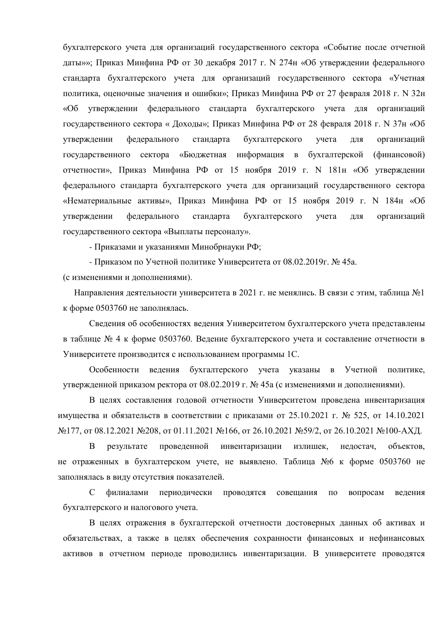бухгалтерского учета для организаций государственного сектора «Событие после отчетной даты»»; Приказ Минфина РФ от 30 декабря 2017 г. N 274н «Об утверждении федерального стандарта бухгалтерского учета для организаций государственного сектора «Учетная политика, оценочные значения и ошибки»; Приказ Минфина РФ от 27 февраля 2018 г. N 32н «Об утверждении федерального стандарта бухгалтерского учета для организаций государственного сектора « Доходы»; Приказ Минфина РФ от 28 февраля 2018 г. N 37н «Об утверждении федерального стандарта бухгалтерского учета для организаций государственного сектора «Бюджетная информация в бухгалтерской (финансовой) отчетности», Приказ Минфина РФ от 15 ноября 2019 г. N 181н «Об утверждении федерального стандарта бухгалтерского учета для организаций государственного сектора «Нематериальные активы», Приказ Минфина РФ от 15 ноября 2019 г. N 184н «Об утверждении федерального стандарта бухгалтерского учета для организаций государственного сектора «Выплаты персоналу».

- Приказами и указаниями Минобрнауки РФ;

- Приказом по Учетной политике Университета от 08.02.2019г. № 45а.

(с изменениями и дополнениями).

Направления деятельности университета в 2021 г. не менялись. В связи с этим, таблица №1 к форме 0503760 не заполнялась.

Сведения об особенностях ведения Университетом бухгалтерского учета представлены в таблице № 4 к форме 0503760. Ведение бухгалтерского учета и составление отчетности в Университете производится с использованием программы 1С.

Особенности ведения бухгалтерского учета указаны в Учетной политике, утвержденной приказом ректора от 08.02.2019 г. № 45а (с изменениями и дополнениями).

В целях составления годовой отчетности Университетом проведена инвентаризация имущества и обязательств в соответствии с приказами от 25.10.2021 г. № 525, от 14.10.2021 №177, от 08.12.2021 №208, от 01.11.2021 №166, от 26.10.2021 №59/2, от 26.10.2021 №100-АХД.

В результате проведенной инвентаризации излишек, недостач, объектов, не отраженных в бухгалтерском учете, не выявлено. Таблица №6 к форме 0503760 не заполнялась в виду отсутствия показателей.

С филиалами периодически проводятся совещания по вопросам ведения бухгалтерского и налогового учета.

В целях отражения в бухгалтерской отчетности достоверных данных об активах и обязательствах, а также в целях обеспечения сохранности финансовых и нефинансовых активов в отчетном периоде проводились инвентаризации. В университете проводятся